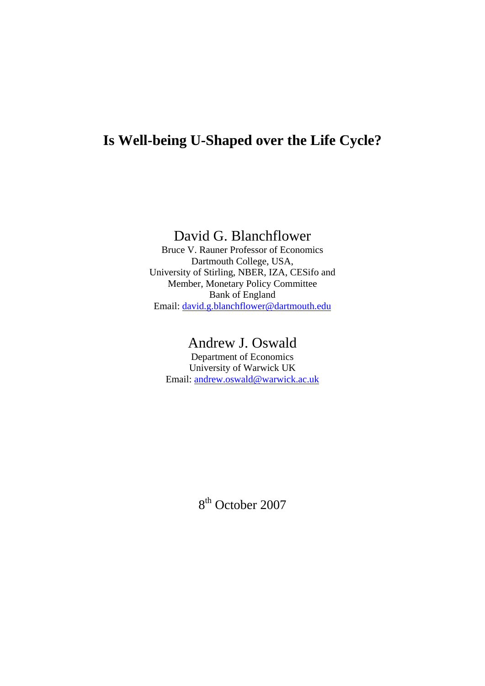# **Is Well-being U-Shaped over the Life Cycle?**

David G. Blanchflower

Bruce V. Rauner Professor of Economics Dartmouth College, USA, University of Stirling, NBER, IZA, CESifo and Member, Monetary Policy Committee Bank of England Email: [david.g.blanchflower@dartmouth.edu](mailto:david.g.blanchflower@dartmouth.edu)

## Andrew J. Oswald

Department of Economics University of Warwick UK Email: [andrew.oswald@warwick.ac.uk](mailto:andrew.oswald@warwick.ac.uk)

8<sup>th</sup> October 2007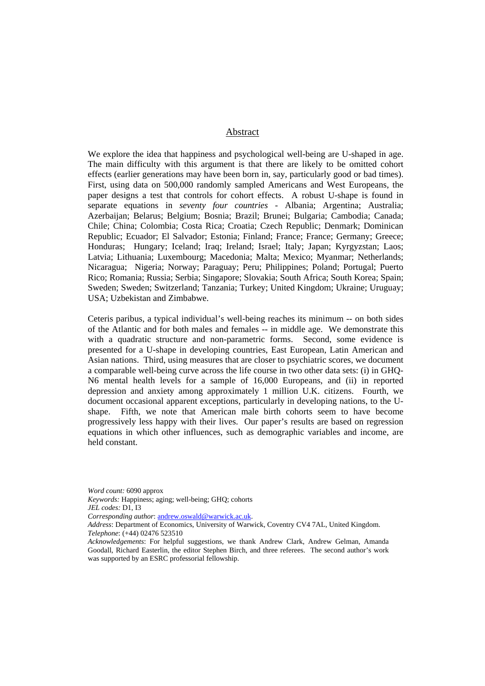#### Abstract

We explore the idea that happiness and psychological well-being are U-shaped in age. The main difficulty with this argument is that there are likely to be omitted cohort effects (earlier generations may have been born in, say, particularly good or bad times). First, using data on 500,000 randomly sampled Americans and West Europeans, the paper designs a test that controls for cohort effects. A robust U-shape is found in separate equations in *seventy four countries* - Albania; Argentina; Australia; Azerbaijan; Belarus; Belgium; Bosnia; Brazil; Brunei; Bulgaria; Cambodia; Canada; Chile; China; Colombia; Costa Rica; Croatia; Czech Republic; Denmark; Dominican Republic; Ecuador; El Salvador; Estonia; Finland; France; France; Germany; Greece; Honduras; Hungary; Iceland; Iraq; Ireland; Israel; Italy; Japan; Kyrgyzstan; Laos; Latvia; Lithuania; Luxembourg; Macedonia; Malta; Mexico; Myanmar; Netherlands; Nicaragua; Nigeria; Norway; Paraguay; Peru; Philippines; Poland; Portugal; Puerto Rico; Romania; Russia; Serbia; Singapore; Slovakia; South Africa; South Korea; Spain; Sweden; Sweden; Switzerland; Tanzania; Turkey; United Kingdom; Ukraine; Uruguay; USA; Uzbekistan and Zimbabwe.

Ceteris paribus, a typical individual's well-being reaches its minimum -- on both sides of the Atlantic and for both males and females -- in middle age. We demonstrate this with a quadratic structure and non-parametric forms. Second, some evidence is presented for a U-shape in developing countries, East European, Latin American and Asian nations. Third, using measures that are closer to psychiatric scores, we document a comparable well-being curve across the life course in two other data sets: (i) in GHQ-N6 mental health levels for a sample of 16,000 Europeans, and (ii) in reported depression and anxiety among approximately 1 million U.K. citizens. Fourth, we document occasional apparent exceptions, particularly in developing nations, to the Ushape. Fifth, we note that American male birth cohorts seem to have become progressively less happy with their lives. Our paper's results are based on regression equations in which other influences, such as demographic variables and income, are held constant.

*Word count:* 6090 approx *Keywords:* Happiness; aging; well-being; GHQ; cohorts *JEL codes:* D1, I3 *Corresponding author*: [andrew.oswald@warwick.ac.uk](mailto:andrew.oswald@warwick.ac.uk). *Address*: Department of Economics, University of Warwick, Coventry CV4 7AL, United Kingdom.

*Telephone*: (+44) 02476 523510

*Acknowledgements*: For helpful suggestions, we thank Andrew Clark, Andrew Gelman, Amanda Goodall, Richard Easterlin, the editor Stephen Birch, and three referees. The second author's work was supported by an ESRC professorial fellowship.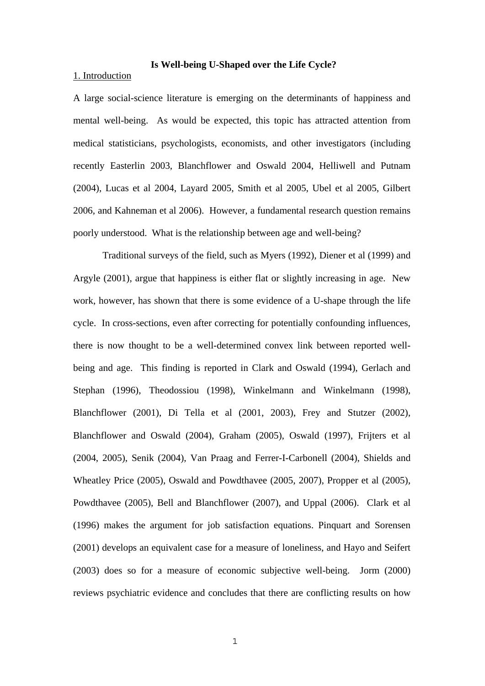#### **Is Well-being U-Shaped over the Life Cycle?**

#### 1. Introduction

A large social-science literature is emerging on the determinants of happiness and mental well-being. As would be expected, this topic has attracted attention from medical statisticians, psychologists, economists, and other investigators (including recently Easterlin 2003, Blanchflower and Oswald 2004, Helliwell and Putnam (2004), Lucas et al 2004, Layard 2005, Smith et al 2005, Ubel et al 2005, Gilbert 2006, and Kahneman et al 2006). However, a fundamental research question remains poorly understood. What is the relationship between age and well-being?

Traditional surveys of the field, such as Myers (1992), Diener et al (1999) and Argyle (2001), argue that happiness is either flat or slightly increasing in age. New work, however, has shown that there is some evidence of a U-shape through the life cycle. In cross-sections, even after correcting for potentially confounding influences, there is now thought to be a well-determined convex link between reported wellbeing and age. This finding is reported in Clark and Oswald (1994), Gerlach and Stephan (1996), Theodossiou (1998), Winkelmann and Winkelmann (1998), Blanchflower (2001), Di Tella et al (2001, 2003), Frey and Stutzer (2002), Blanchflower and Oswald (2004), Graham (2005), Oswald (1997), Frijters et al (2004, 2005), Senik (2004), Van Praag and Ferrer-I-Carbonell (2004), Shields and Wheatley Price (2005), Oswald and Powdthavee (2005, 2007), Propper et al (2005), Powdthavee (2005), Bell and Blanchflower (2007), and Uppal (2006). Clark et al (1996) makes the argument for job satisfaction equations. Pinquart and Sorensen (2001) develops an equivalent case for a measure of loneliness, and Hayo and Seifert (2003) does so for a measure of economic subjective well-being. Jorm (2000) reviews psychiatric evidence and concludes that there are conflicting results on how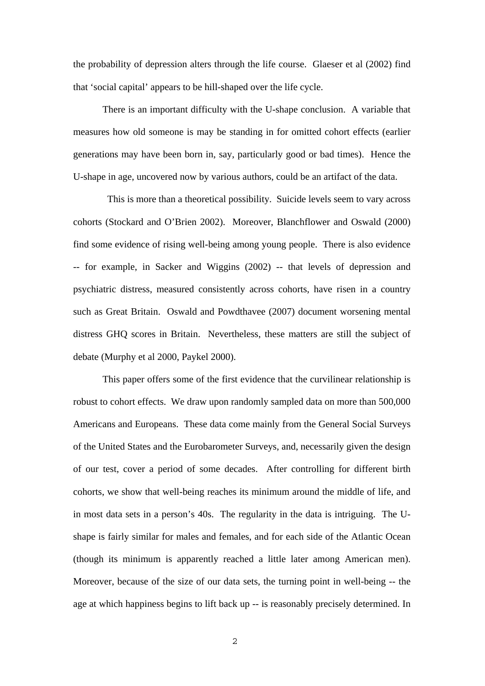the probability of depression alters through the life course. Glaeser et al (2002) find that 'social capital' appears to be hill-shaped over the life cycle.

There is an important difficulty with the U-shape conclusion. A variable that measures how old someone is may be standing in for omitted cohort effects (earlier generations may have been born in, say, particularly good or bad times). Hence the U-shape in age, uncovered now by various authors, could be an artifact of the data.

 This is more than a theoretical possibility. Suicide levels seem to vary across cohorts (Stockard and O'Brien 2002). Moreover, Blanchflower and Oswald (2000) find some evidence of rising well-being among young people. There is also evidence -- for example, in Sacker and Wiggins (2002) -- that levels of depression and psychiatric distress, measured consistently across cohorts, have risen in a country such as Great Britain. Oswald and Powdthavee (2007) document worsening mental distress GHQ scores in Britain. Nevertheless, these matters are still the subject of debate (Murphy et al 2000, Paykel 2000).

This paper offers some of the first evidence that the curvilinear relationship is robust to cohort effects. We draw upon randomly sampled data on more than 500,000 Americans and Europeans. These data come mainly from the General Social Surveys of the United States and the Eurobarometer Surveys, and, necessarily given the design of our test, cover a period of some decades. After controlling for different birth cohorts, we show that well-being reaches its minimum around the middle of life, and in most data sets in a person's 40s. The regularity in the data is intriguing. The Ushape is fairly similar for males and females, and for each side of the Atlantic Ocean (though its minimum is apparently reached a little later among American men). Moreover, because of the size of our data sets, the turning point in well-being -- the age at which happiness begins to lift back up -- is reasonably precisely determined. In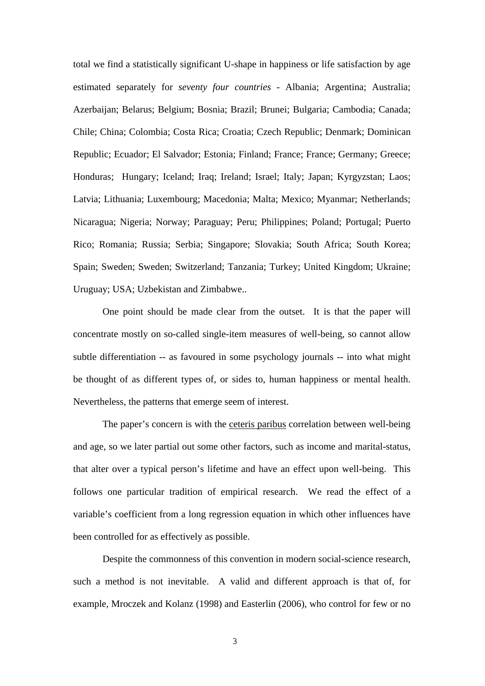total we find a statistically significant U-shape in happiness or life satisfaction by age estimated separately for *seventy four countries* - Albania; Argentina; Australia; Azerbaijan; Belarus; Belgium; Bosnia; Brazil; Brunei; Bulgaria; Cambodia; Canada; Chile; China; Colombia; Costa Rica; Croatia; Czech Republic; Denmark; Dominican Republic; Ecuador; El Salvador; Estonia; Finland; France; France; Germany; Greece; Honduras; Hungary; Iceland; Iraq; Ireland; Israel; Italy; Japan; Kyrgyzstan; Laos; Latvia; Lithuania; Luxembourg; Macedonia; Malta; Mexico; Myanmar; Netherlands; Nicaragua; Nigeria; Norway; Paraguay; Peru; Philippines; Poland; Portugal; Puerto Rico; Romania; Russia; Serbia; Singapore; Slovakia; South Africa; South Korea; Spain; Sweden; Sweden; Switzerland; Tanzania; Turkey; United Kingdom; Ukraine; Uruguay; USA; Uzbekistan and Zimbabwe..

One point should be made clear from the outset. It is that the paper will concentrate mostly on so-called single-item measures of well-being, so cannot allow subtle differentiation -- as favoured in some psychology journals -- into what might be thought of as different types of, or sides to, human happiness or mental health. Nevertheless, the patterns that emerge seem of interest.

The paper's concern is with the ceteris paribus correlation between well-being and age, so we later partial out some other factors, such as income and marital-status, that alter over a typical person's lifetime and have an effect upon well-being. This follows one particular tradition of empirical research. We read the effect of a variable's coefficient from a long regression equation in which other influences have been controlled for as effectively as possible.

Despite the commonness of this convention in modern social-science research, such a method is not inevitable. A valid and different approach is that of, for example, Mroczek and Kolanz (1998) and Easterlin (2006), who control for few or no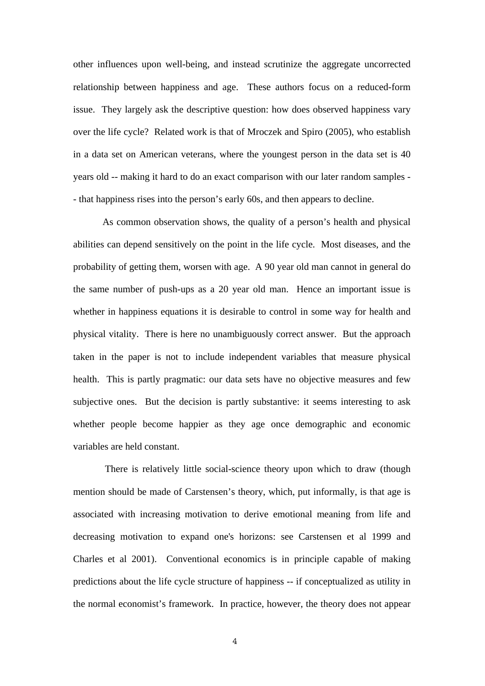other influences upon well-being, and instead scrutinize the aggregate uncorrected relationship between happiness and age. These authors focus on a reduced-form issue. They largely ask the descriptive question: how does observed happiness vary over the life cycle? Related work is that of Mroczek and Spiro (2005), who establish in a data set on American veterans, where the youngest person in the data set is 40 years old -- making it hard to do an exact comparison with our later random samples - - that happiness rises into the person's early 60s, and then appears to decline.

As common observation shows, the quality of a person's health and physical abilities can depend sensitively on the point in the life cycle. Most diseases, and the probability of getting them, worsen with age. A 90 year old man cannot in general do the same number of push-ups as a 20 year old man. Hence an important issue is whether in happiness equations it is desirable to control in some way for health and physical vitality. There is here no unambiguously correct answer. But the approach taken in the paper is not to include independent variables that measure physical health. This is partly pragmatic: our data sets have no objective measures and few subjective ones. But the decision is partly substantive: it seems interesting to ask whether people become happier as they age once demographic and economic variables are held constant.

 There is relatively little social-science theory upon which to draw (though mention should be made of Carstensen's theory, which, put informally, is that age is associated with increasing motivation to derive emotional meaning from life and decreasing motivation to expand one's horizons: see Carstensen et al 1999 and Charles et al 2001). Conventional economics is in principle capable of making predictions about the life cycle structure of happiness -- if conceptualized as utility in the normal economist's framework. In practice, however, the theory does not appear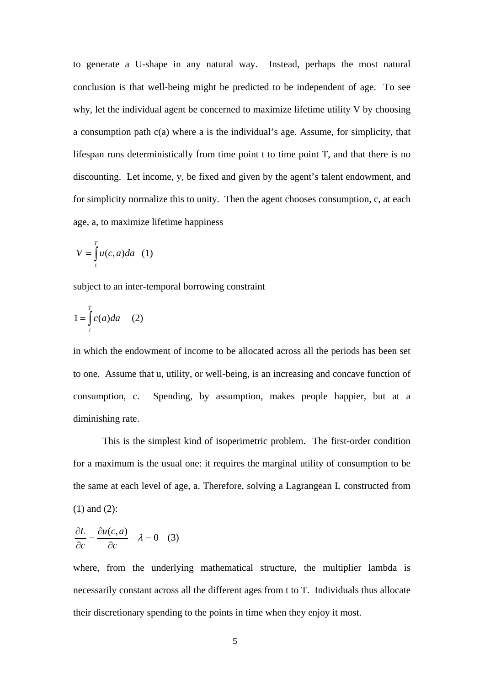to generate a U-shape in any natural way. Instead, perhaps the most natural conclusion is that well-being might be predicted to be independent of age. To see why, let the individual agent be concerned to maximize lifetime utility V by choosing a consumption path c(a) where a is the individual's age. Assume, for simplicity, that lifespan runs deterministically from time point t to time point T, and that there is no discounting. Let income, y, be fixed and given by the agent's talent endowment, and for simplicity normalize this to unity. Then the agent chooses consumption, c, at each age, a, to maximize lifetime happiness

$$
V = \int_{t}^{T} u(c, a) da \quad (1)
$$

subject to an inter-temporal borrowing constraint

$$
1 = \int_{t}^{T} c(a)da \quad (2)
$$

in which the endowment of income to be allocated across all the periods has been set to one. Assume that u, utility, or well-being, is an increasing and concave function of consumption, c. Spending, by assumption, makes people happier, but at a diminishing rate.

This is the simplest kind of isoperimetric problem. The first-order condition for a maximum is the usual one: it requires the marginal utility of consumption to be the same at each level of age, a. Therefore, solving a Lagrangean L constructed from (1) and (2):

$$
\frac{\partial L}{\partial c} = \frac{\partial u(c, a)}{\partial c} - \lambda = 0 \quad (3)
$$

where, from the underlying mathematical structure, the multiplier lambda is necessarily constant across all the different ages from t to T. Individuals thus allocate their discretionary spending to the points in time when they enjoy it most.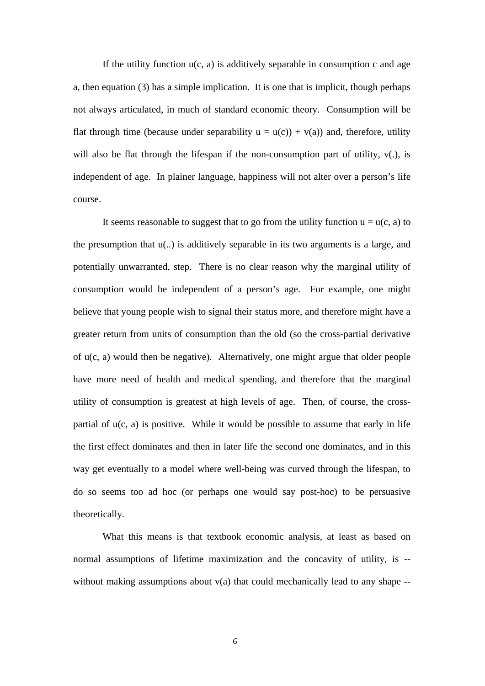If the utility function  $u(c, a)$  is additively separable in consumption c and age a, then equation (3) has a simple implication. It is one that is implicit, though perhaps not always articulated, in much of standard economic theory. Consumption will be flat through time (because under separability  $u = u(c) + v(a)$ ) and, therefore, utility will also be flat through the lifespan if the non-consumption part of utility,  $v(.)$ , is independent of age. In plainer language, happiness will not alter over a person's life course.

It seems reasonable to suggest that to go from the utility function  $u = u(c, a)$  to the presumption that u(..) is additively separable in its two arguments is a large, and potentially unwarranted, step. There is no clear reason why the marginal utility of consumption would be independent of a person's age. For example, one might believe that young people wish to signal their status more, and therefore might have a greater return from units of consumption than the old (so the cross-partial derivative of u(c, a) would then be negative). Alternatively, one might argue that older people have more need of health and medical spending, and therefore that the marginal utility of consumption is greatest at high levels of age. Then, of course, the crosspartial of  $u(c, a)$  is positive. While it would be possible to assume that early in life the first effect dominates and then in later life the second one dominates, and in this way get eventually to a model where well-being was curved through the lifespan, to do so seems too ad hoc (or perhaps one would say post-hoc) to be persuasive theoretically.

 What this means is that textbook economic analysis, at least as based on normal assumptions of lifetime maximization and the concavity of utility, is - without making assumptions about  $v(a)$  that could mechanically lead to any shape --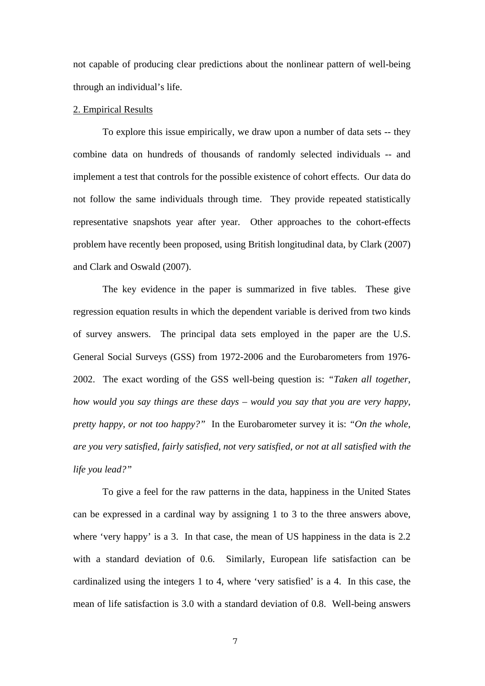not capable of producing clear predictions about the nonlinear pattern of well-being through an individual's life.

#### 2. Empirical Results

To explore this issue empirically, we draw upon a number of data sets -- they combine data on hundreds of thousands of randomly selected individuals -- and implement a test that controls for the possible existence of cohort effects. Our data do not follow the same individuals through time. They provide repeated statistically representative snapshots year after year. Other approaches to the cohort-effects problem have recently been proposed, using British longitudinal data, by Clark (2007) and Clark and Oswald (2007).

The key evidence in the paper is summarized in five tables. These give regression equation results in which the dependent variable is derived from two kinds of survey answers. The principal data sets employed in the paper are the U.S. General Social Surveys (GSS) from 1972-2006 and the Eurobarometers from 1976- 2002. The exact wording of the GSS well-being question is: *"Taken all together, how would you say things are these days – would you say that you are very happy, pretty happy, or not too happy?"* In the Eurobarometer survey it is: *"On the whole, are you very satisfied, fairly satisfied, not very satisfied, or not at all satisfied with the life you lead?"*

To give a feel for the raw patterns in the data, happiness in the United States can be expressed in a cardinal way by assigning 1 to 3 to the three answers above, where 'very happy' is a 3. In that case, the mean of US happiness in the data is 2.2 with a standard deviation of 0.6. Similarly, European life satisfaction can be cardinalized using the integers 1 to 4, where 'very satisfied' is a 4. In this case, the mean of life satisfaction is 3.0 with a standard deviation of 0.8. Well-being answers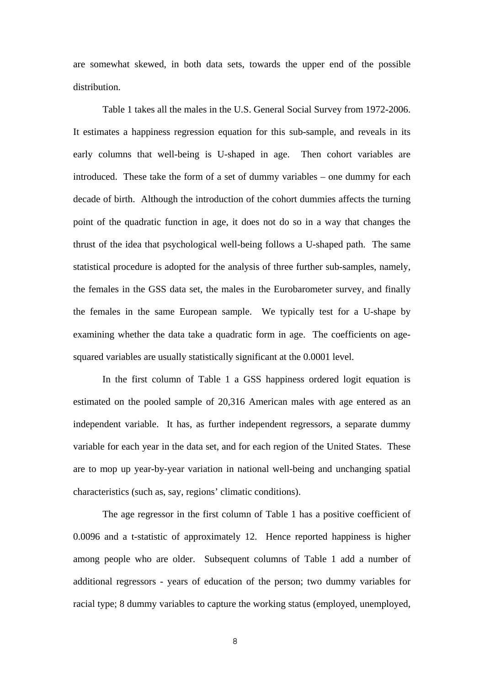are somewhat skewed, in both data sets, towards the upper end of the possible distribution.

Table 1 takes all the males in the U.S. General Social Survey from 1972-2006. It estimates a happiness regression equation for this sub-sample, and reveals in its early columns that well-being is U-shaped in age. Then cohort variables are introduced. These take the form of a set of dummy variables – one dummy for each decade of birth. Although the introduction of the cohort dummies affects the turning point of the quadratic function in age, it does not do so in a way that changes the thrust of the idea that psychological well-being follows a U-shaped path. The same statistical procedure is adopted for the analysis of three further sub-samples, namely, the females in the GSS data set, the males in the Eurobarometer survey, and finally the females in the same European sample. We typically test for a U-shape by examining whether the data take a quadratic form in age. The coefficients on agesquared variables are usually statistically significant at the 0.0001 level.

 In the first column of Table 1 a GSS happiness ordered logit equation is estimated on the pooled sample of 20,316 American males with age entered as an independent variable. It has, as further independent regressors, a separate dummy variable for each year in the data set, and for each region of the United States. These are to mop up year-by-year variation in national well-being and unchanging spatial characteristics (such as, say, regions' climatic conditions).

The age regressor in the first column of Table 1 has a positive coefficient of 0.0096 and a t-statistic of approximately 12. Hence reported happiness is higher among people who are older. Subsequent columns of Table 1 add a number of additional regressors - years of education of the person; two dummy variables for racial type; 8 dummy variables to capture the working status (employed, unemployed,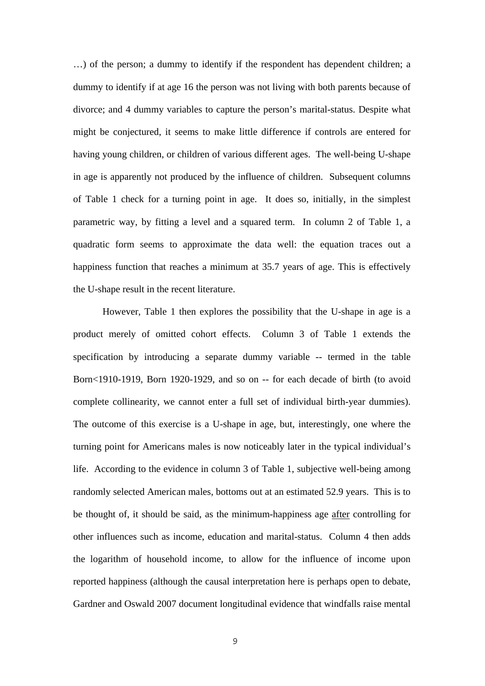…) of the person; a dummy to identify if the respondent has dependent children; a dummy to identify if at age 16 the person was not living with both parents because of divorce; and 4 dummy variables to capture the person's marital-status. Despite what might be conjectured, it seems to make little difference if controls are entered for having young children, or children of various different ages. The well-being U-shape in age is apparently not produced by the influence of children. Subsequent columns of Table 1 check for a turning point in age. It does so, initially, in the simplest parametric way, by fitting a level and a squared term. In column 2 of Table 1, a quadratic form seems to approximate the data well: the equation traces out a happiness function that reaches a minimum at 35.7 years of age. This is effectively the U-shape result in the recent literature.

However, Table 1 then explores the possibility that the U-shape in age is a product merely of omitted cohort effects. Column 3 of Table 1 extends the specification by introducing a separate dummy variable -- termed in the table Born<1910-1919, Born 1920-1929, and so on -- for each decade of birth (to avoid complete collinearity, we cannot enter a full set of individual birth-year dummies). The outcome of this exercise is a U-shape in age, but, interestingly, one where the turning point for Americans males is now noticeably later in the typical individual's life. According to the evidence in column 3 of Table 1, subjective well-being among randomly selected American males, bottoms out at an estimated 52.9 years. This is to be thought of, it should be said, as the minimum-happiness age after controlling for other influences such as income, education and marital-status. Column 4 then adds the logarithm of household income, to allow for the influence of income upon reported happiness (although the causal interpretation here is perhaps open to debate, Gardner and Oswald 2007 document longitudinal evidence that windfalls raise mental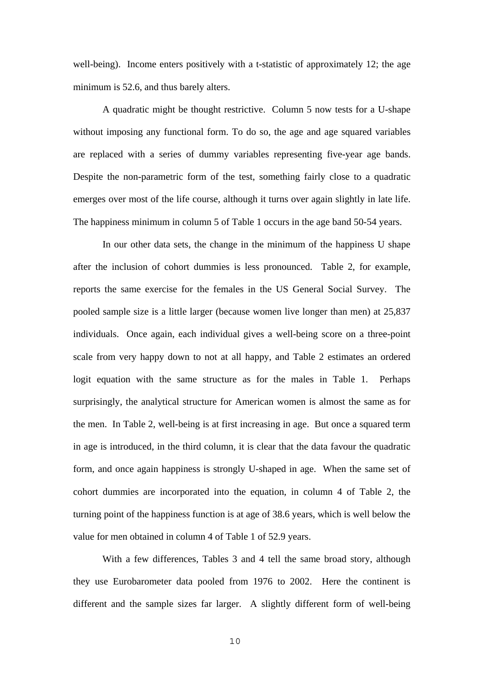well-being). Income enters positively with a t-statistic of approximately 12; the age minimum is 52.6, and thus barely alters.

A quadratic might be thought restrictive. Column 5 now tests for a U-shape without imposing any functional form. To do so, the age and age squared variables are replaced with a series of dummy variables representing five-year age bands. Despite the non-parametric form of the test, something fairly close to a quadratic emerges over most of the life course, although it turns over again slightly in late life. The happiness minimum in column 5 of Table 1 occurs in the age band 50-54 years.

In our other data sets, the change in the minimum of the happiness U shape after the inclusion of cohort dummies is less pronounced. Table 2, for example, reports the same exercise for the females in the US General Social Survey. The pooled sample size is a little larger (because women live longer than men) at 25,837 individuals. Once again, each individual gives a well-being score on a three-point scale from very happy down to not at all happy, and Table 2 estimates an ordered logit equation with the same structure as for the males in Table 1. Perhaps surprisingly, the analytical structure for American women is almost the same as for the men. In Table 2, well-being is at first increasing in age. But once a squared term in age is introduced, in the third column, it is clear that the data favour the quadratic form, and once again happiness is strongly U-shaped in age. When the same set of cohort dummies are incorporated into the equation, in column 4 of Table 2, the turning point of the happiness function is at age of 38.6 years, which is well below the value for men obtained in column 4 of Table 1 of 52.9 years.

 With a few differences, Tables 3 and 4 tell the same broad story, although they use Eurobarometer data pooled from 1976 to 2002. Here the continent is different and the sample sizes far larger. A slightly different form of well-being

10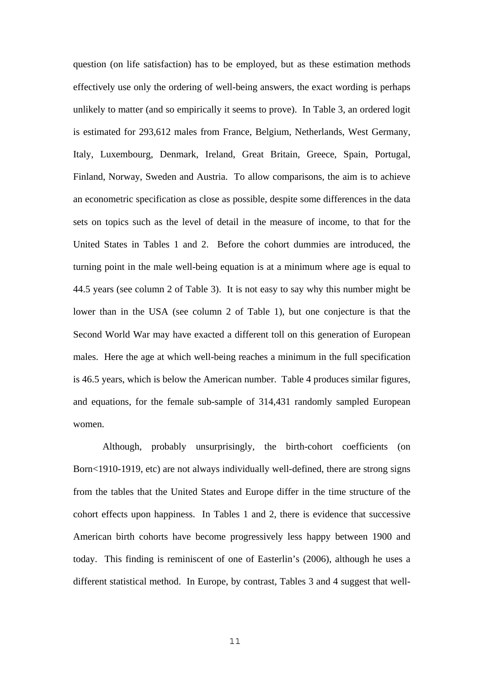question (on life satisfaction) has to be employed, but as these estimation methods effectively use only the ordering of well-being answers, the exact wording is perhaps unlikely to matter (and so empirically it seems to prove). In Table 3, an ordered logit is estimated for 293,612 males from France, Belgium, Netherlands, West Germany, Italy, Luxembourg, Denmark, Ireland, Great Britain, Greece, Spain, Portugal, Finland, Norway, Sweden and Austria. To allow comparisons, the aim is to achieve an econometric specification as close as possible, despite some differences in the data sets on topics such as the level of detail in the measure of income, to that for the United States in Tables 1 and 2. Before the cohort dummies are introduced, the turning point in the male well-being equation is at a minimum where age is equal to 44.5 years (see column 2 of Table 3). It is not easy to say why this number might be lower than in the USA (see column 2 of Table 1), but one conjecture is that the Second World War may have exacted a different toll on this generation of European males. Here the age at which well-being reaches a minimum in the full specification is 46.5 years, which is below the American number. Table 4 produces similar figures, and equations, for the female sub-sample of 314,431 randomly sampled European women.

 Although, probably unsurprisingly, the birth-cohort coefficients (on Born<1910-1919, etc) are not always individually well-defined, there are strong signs from the tables that the United States and Europe differ in the time structure of the cohort effects upon happiness. In Tables 1 and 2, there is evidence that successive American birth cohorts have become progressively less happy between 1900 and today. This finding is reminiscent of one of Easterlin's (2006), although he uses a different statistical method. In Europe, by contrast, Tables 3 and 4 suggest that well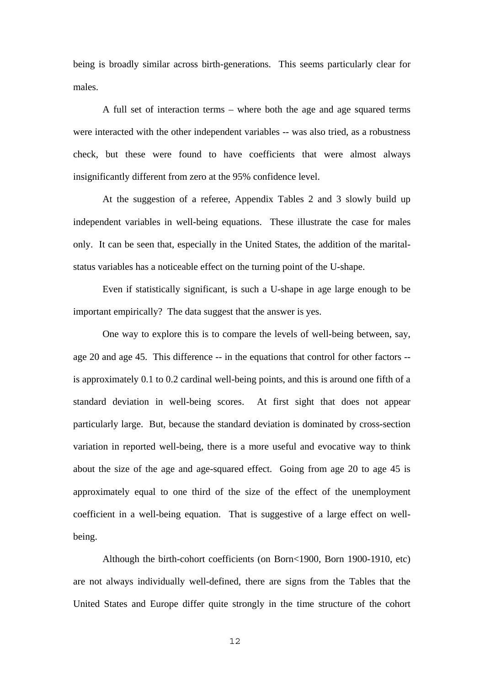being is broadly similar across birth-generations. This seems particularly clear for males.

A full set of interaction terms – where both the age and age squared terms were interacted with the other independent variables -- was also tried, as a robustness check, but these were found to have coefficients that were almost always insignificantly different from zero at the 95% confidence level.

At the suggestion of a referee, Appendix Tables 2 and 3 slowly build up independent variables in well-being equations. These illustrate the case for males only. It can be seen that, especially in the United States, the addition of the maritalstatus variables has a noticeable effect on the turning point of the U-shape.

Even if statistically significant, is such a U-shape in age large enough to be important empirically? The data suggest that the answer is yes.

One way to explore this is to compare the levels of well-being between, say, age 20 and age 45. This difference -- in the equations that control for other factors - is approximately 0.1 to 0.2 cardinal well-being points, and this is around one fifth of a standard deviation in well-being scores. At first sight that does not appear particularly large. But, because the standard deviation is dominated by cross-section variation in reported well-being, there is a more useful and evocative way to think about the size of the age and age-squared effect. Going from age 20 to age 45 is approximately equal to one third of the size of the effect of the unemployment coefficient in a well-being equation. That is suggestive of a large effect on wellbeing.

Although the birth-cohort coefficients (on Born<1900, Born 1900-1910, etc) are not always individually well-defined, there are signs from the Tables that the United States and Europe differ quite strongly in the time structure of the cohort

12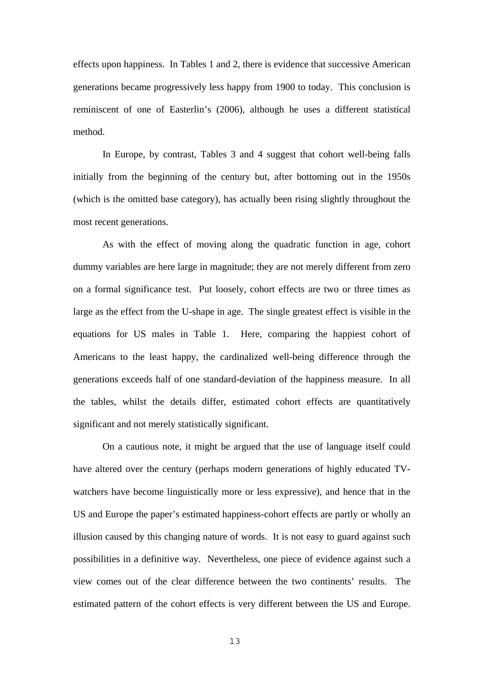effects upon happiness. In Tables 1 and 2, there is evidence that successive American generations became progressively less happy from 1900 to today. This conclusion is reminiscent of one of Easterlin's (2006), although he uses a different statistical method.

In Europe, by contrast, Tables 3 and 4 suggest that cohort well-being falls initially from the beginning of the century but, after bottoming out in the 1950s (which is the omitted base category), has actually been rising slightly throughout the most recent generations.

As with the effect of moving along the quadratic function in age, cohort dummy variables are here large in magnitude; they are not merely different from zero on a formal significance test. Put loosely, cohort effects are two or three times as large as the effect from the U-shape in age. The single greatest effect is visible in the equations for US males in Table 1. Here, comparing the happiest cohort of Americans to the least happy, the cardinalized well-being difference through the generations exceeds half of one standard-deviation of the happiness measure. In all the tables, whilst the details differ, estimated cohort effects are quantitatively significant and not merely statistically significant.

On a cautious note, it might be argued that the use of language itself could have altered over the century (perhaps modern generations of highly educated TVwatchers have become linguistically more or less expressive), and hence that in the US and Europe the paper's estimated happiness-cohort effects are partly or wholly an illusion caused by this changing nature of words. It is not easy to guard against such possibilities in a definitive way. Nevertheless, one piece of evidence against such a view comes out of the clear difference between the two continents' results. The estimated pattern of the cohort effects is very different between the US and Europe.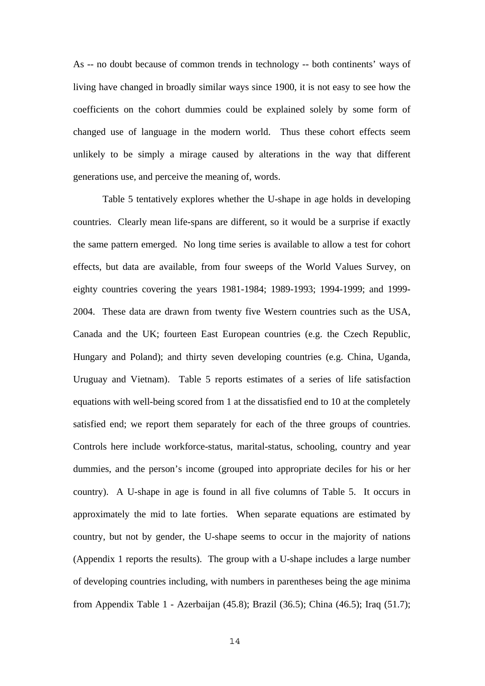As -- no doubt because of common trends in technology -- both continents' ways of living have changed in broadly similar ways since 1900, it is not easy to see how the coefficients on the cohort dummies could be explained solely by some form of changed use of language in the modern world. Thus these cohort effects seem unlikely to be simply a mirage caused by alterations in the way that different generations use, and perceive the meaning of, words.

Table 5 tentatively explores whether the U-shape in age holds in developing countries. Clearly mean life-spans are different, so it would be a surprise if exactly the same pattern emerged. No long time series is available to allow a test for cohort effects, but data are available, from four sweeps of the World Values Survey, on eighty countries covering the years 1981-1984; 1989-1993; 1994-1999; and 1999- 2004. These data are drawn from twenty five Western countries such as the USA, Canada and the UK; fourteen East European countries (e.g. the Czech Republic, Hungary and Poland); and thirty seven developing countries (e.g. China, Uganda, Uruguay and Vietnam). Table 5 reports estimates of a series of life satisfaction equations with well-being scored from 1 at the dissatisfied end to 10 at the completely satisfied end; we report them separately for each of the three groups of countries. Controls here include workforce-status, marital-status, schooling, country and year dummies, and the person's income (grouped into appropriate deciles for his or her country). A U-shape in age is found in all five columns of Table 5. It occurs in approximately the mid to late forties. When separate equations are estimated by country, but not by gender, the U-shape seems to occur in the majority of nations (Appendix 1 reports the results). The group with a U-shape includes a large number of developing countries including, with numbers in parentheses being the age minima from Appendix Table 1 - Azerbaijan (45.8); Brazil (36.5); China (46.5); Iraq (51.7);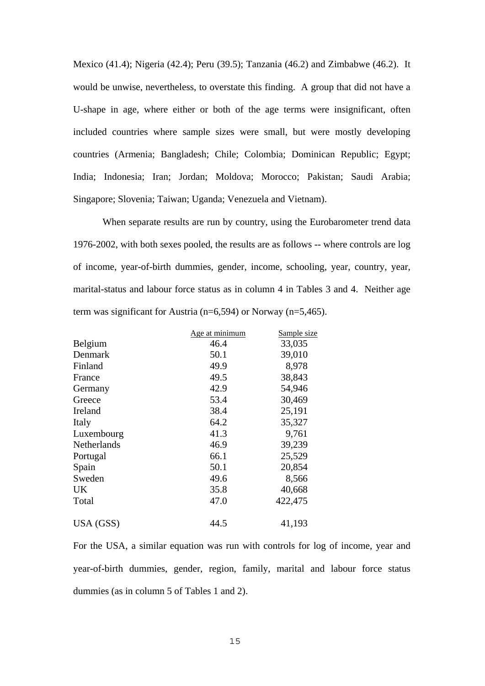Mexico (41.4); Nigeria (42.4); Peru (39.5); Tanzania (46.2) and Zimbabwe (46.2). It would be unwise, nevertheless, to overstate this finding. A group that did not have a U-shape in age, where either or both of the age terms were insignificant, often included countries where sample sizes were small, but were mostly developing countries (Armenia; Bangladesh; Chile; Colombia; Dominican Republic; Egypt; India; Indonesia; Iran; Jordan; Moldova; Morocco; Pakistan; Saudi Arabia; Singapore; Slovenia; Taiwan; Uganda; Venezuela and Vietnam).

When separate results are run by country, using the Eurobarometer trend data 1976-2002, with both sexes pooled, the results are as follows -- where controls are log of income, year-of-birth dummies, gender, income, schooling, year, country, year, marital-status and labour force status as in column 4 in Tables 3 and 4. Neither age term was significant for Austria (n=6,594) or Norway (n=5,465).

|             | Age at minimum | Sample size |
|-------------|----------------|-------------|
| Belgium     | 46.4           | 33,035      |
| Denmark     | 50.1           | 39,010      |
| Finland     | 49.9           | 8,978       |
| France      | 49.5           | 38,843      |
| Germany     | 42.9           | 54,946      |
| Greece      | 53.4           | 30,469      |
| Ireland     | 38.4           | 25,191      |
| Italy       | 64.2           | 35,327      |
| Luxembourg  | 41.3           | 9,761       |
| Netherlands | 46.9           | 39,239      |
| Portugal    | 66.1           | 25,529      |
| Spain       | 50.1           | 20,854      |
| Sweden      | 49.6           | 8,566       |
| <b>UK</b>   | 35.8           | 40,668      |
| Total       | 47.0           | 422,475     |
| USA (GSS)   | 44.5           | 41,193      |

For the USA, a similar equation was run with controls for log of income, year and year-of-birth dummies, gender, region, family, marital and labour force status dummies (as in column 5 of Tables 1 and 2).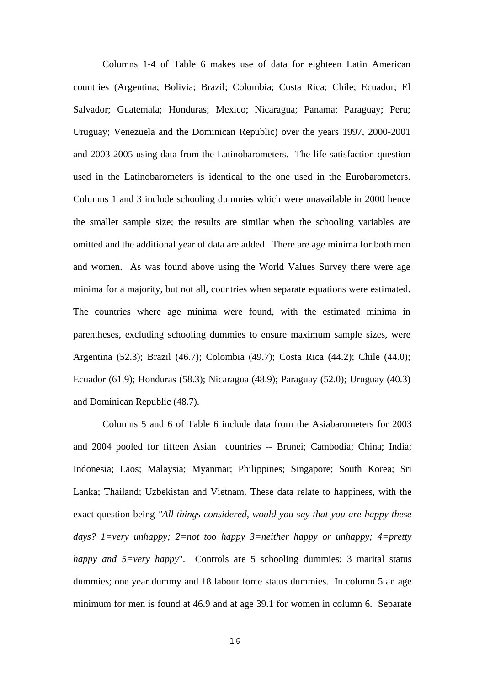Columns 1-4 of Table 6 makes use of data for eighteen Latin American countries (Argentina; Bolivia; Brazil; Colombia; Costa Rica; Chile; Ecuador; El Salvador; Guatemala; Honduras; Mexico; Nicaragua; Panama; Paraguay; Peru; Uruguay; Venezuela and the Dominican Republic) over the years 1997, 2000-2001 and 2003-2005 using data from the Latinobarometers. The life satisfaction question used in the Latinobarometers is identical to the one used in the Eurobarometers. Columns 1 and 3 include schooling dummies which were unavailable in 2000 hence the smaller sample size; the results are similar when the schooling variables are omitted and the additional year of data are added. There are age minima for both men and women. As was found above using the World Values Survey there were age minima for a majority, but not all, countries when separate equations were estimated. The countries where age minima were found, with the estimated minima in parentheses, excluding schooling dummies to ensure maximum sample sizes, were Argentina (52.3); Brazil (46.7); Colombia (49.7); Costa Rica (44.2); Chile (44.0); Ecuador (61.9); Honduras (58.3); Nicaragua (48.9); Paraguay (52.0); Uruguay (40.3) and Dominican Republic (48.7).

Columns 5 and 6 of Table 6 include data from the Asiabarometers for 2003 and 2004 pooled for fifteen Asian countries -- Brunei; Cambodia; China; India; Indonesia; Laos; Malaysia; Myanmar; Philippines; Singapore; South Korea; Sri Lanka; Thailand; Uzbekistan and Vietnam. These data relate to happiness, with the exact question being *"All things considered, would you say that you are happy these days? 1=very unhappy; 2=not too happy 3=neither happy or unhappy; 4=pretty happy and 5=very happy*". Controls are 5 schooling dummies; 3 marital status dummies; one year dummy and 18 labour force status dummies. In column 5 an age minimum for men is found at 46.9 and at age 39.1 for women in column 6. Separate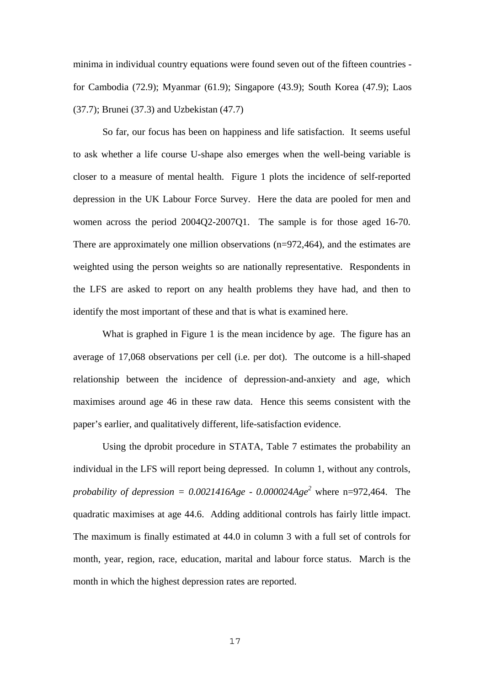minima in individual country equations were found seven out of the fifteen countries for Cambodia (72.9); Myanmar (61.9); Singapore (43.9); South Korea (47.9); Laos (37.7); Brunei (37.3) and Uzbekistan (47.7)

So far, our focus has been on happiness and life satisfaction. It seems useful to ask whether a life course U-shape also emerges when the well-being variable is closer to a measure of mental health. Figure 1 plots the incidence of self-reported depression in the UK Labour Force Survey. Here the data are pooled for men and women across the period 2004Q2-2007Q1. The sample is for those aged 16-70. There are approximately one million observations (n=972,464), and the estimates are weighted using the person weights so are nationally representative. Respondents in the LFS are asked to report on any health problems they have had, and then to identify the most important of these and that is what is examined here.

What is graphed in Figure 1 is the mean incidence by age. The figure has an average of 17,068 observations per cell (i.e. per dot). The outcome is a hill-shaped relationship between the incidence of depression-and-anxiety and age, which maximises around age 46 in these raw data. Hence this seems consistent with the paper's earlier, and qualitatively different, life-satisfaction evidence.

Using the dprobit procedure in STATA, Table 7 estimates the probability an individual in the LFS will report being depressed. In column 1, without any controls, probability of depression =  $0.0021416Age - 0.000024Age^2$  where n=972,464. The quadratic maximises at age 44.6. Adding additional controls has fairly little impact. The maximum is finally estimated at 44.0 in column 3 with a full set of controls for month, year, region, race, education, marital and labour force status. March is the month in which the highest depression rates are reported.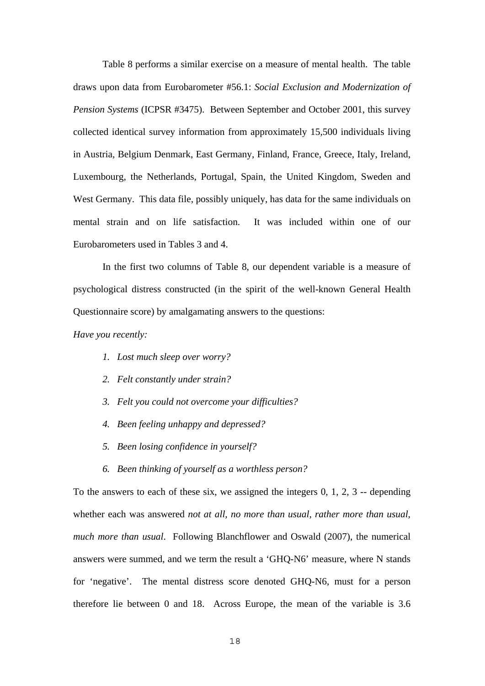Table 8 performs a similar exercise on a measure of mental health. The table draws upon data from Eurobarometer #56.1: *Social Exclusion and Modernization of Pension Systems* (ICPSR #3475). Between September and October 2001, this survey collected identical survey information from approximately 15,500 individuals living in Austria, Belgium Denmark, East Germany, Finland, France, Greece, Italy, Ireland, Luxembourg, the Netherlands, Portugal, Spain, the United Kingdom, Sweden and West Germany. This data file, possibly uniquely, has data for the same individuals on mental strain and on life satisfaction. It was included within one of our Eurobarometers used in Tables 3 and 4.

In the first two columns of Table 8, our dependent variable is a measure of psychological distress constructed (in the spirit of the well-known General Health Questionnaire score) by amalgamating answers to the questions:

*Have you recently:* 

- *1. Lost much sleep over worry?*
- *2. Felt constantly under strain?*
- *3. Felt you could not overcome your difficulties?*
- *4. Been feeling unhappy and depressed?*
- *5. Been losing confidence in yourself?*
- *6. Been thinking of yourself as a worthless person?*

To the answers to each of these six, we assigned the integers 0, 1, 2, 3 -- depending whether each was answered *not at all, no more than usual, rather more than usual, much more than usual*. Following Blanchflower and Oswald (2007), the numerical answers were summed, and we term the result a 'GHQ-N6' measure, where N stands for 'negative'. The mental distress score denoted GHQ-N6, must for a person therefore lie between 0 and 18. Across Europe, the mean of the variable is 3.6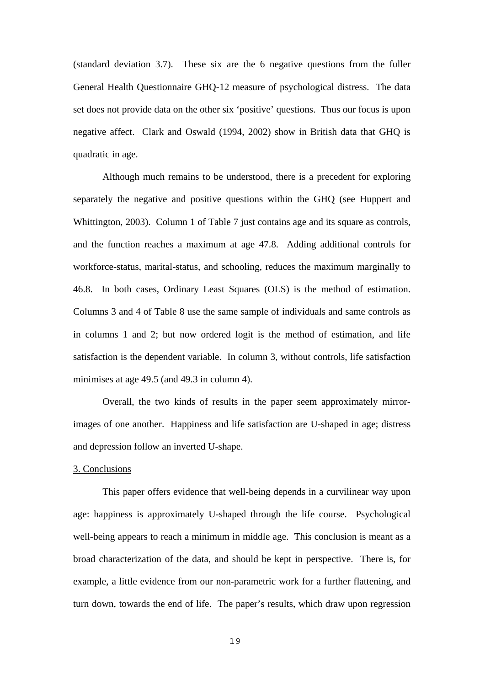(standard deviation 3.7). These six are the 6 negative questions from the fuller General Health Questionnaire GHQ-12 measure of psychological distress. The data set does not provide data on the other six 'positive' questions. Thus our focus is upon negative affect. Clark and Oswald (1994, 2002) show in British data that GHQ is quadratic in age.

Although much remains to be understood, there is a precedent for exploring separately the negative and positive questions within the GHQ (see Huppert and Whittington, 2003). Column 1 of Table 7 just contains age and its square as controls, and the function reaches a maximum at age 47.8. Adding additional controls for workforce-status, marital-status, and schooling, reduces the maximum marginally to 46.8. In both cases, Ordinary Least Squares (OLS) is the method of estimation. Columns 3 and 4 of Table 8 use the same sample of individuals and same controls as in columns 1 and 2; but now ordered logit is the method of estimation, and life satisfaction is the dependent variable. In column 3, without controls, life satisfaction minimises at age 49.5 (and 49.3 in column 4).

Overall, the two kinds of results in the paper seem approximately mirrorimages of one another. Happiness and life satisfaction are U-shaped in age; distress and depression follow an inverted U-shape.

#### 3. Conclusions

This paper offers evidence that well-being depends in a curvilinear way upon age: happiness is approximately U-shaped through the life course. Psychological well-being appears to reach a minimum in middle age. This conclusion is meant as a broad characterization of the data, and should be kept in perspective. There is, for example, a little evidence from our non-parametric work for a further flattening, and turn down, towards the end of life. The paper's results, which draw upon regression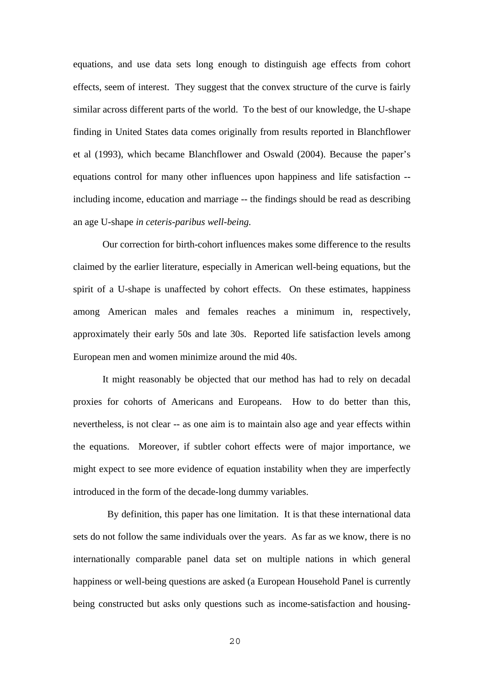equations, and use data sets long enough to distinguish age effects from cohort effects, seem of interest. They suggest that the convex structure of the curve is fairly similar across different parts of the world. To the best of our knowledge, the U-shape finding in United States data comes originally from results reported in Blanchflower et al (1993), which became Blanchflower and Oswald (2004). Because the paper's equations control for many other influences upon happiness and life satisfaction - including income, education and marriage -- the findings should be read as describing an age U-shape *in ceteris-paribus well-being.*

Our correction for birth-cohort influences makes some difference to the results claimed by the earlier literature, especially in American well-being equations, but the spirit of a U-shape is unaffected by cohort effects. On these estimates, happiness among American males and females reaches a minimum in, respectively, approximately their early 50s and late 30s. Reported life satisfaction levels among European men and women minimize around the mid 40s.

It might reasonably be objected that our method has had to rely on decadal proxies for cohorts of Americans and Europeans. How to do better than this, nevertheless, is not clear -- as one aim is to maintain also age and year effects within the equations. Moreover, if subtler cohort effects were of major importance, we might expect to see more evidence of equation instability when they are imperfectly introduced in the form of the decade-long dummy variables.

 By definition, this paper has one limitation. It is that these international data sets do not follow the same individuals over the years. As far as we know, there is no internationally comparable panel data set on multiple nations in which general happiness or well-being questions are asked (a European Household Panel is currently being constructed but asks only questions such as income-satisfaction and housing-

 $20$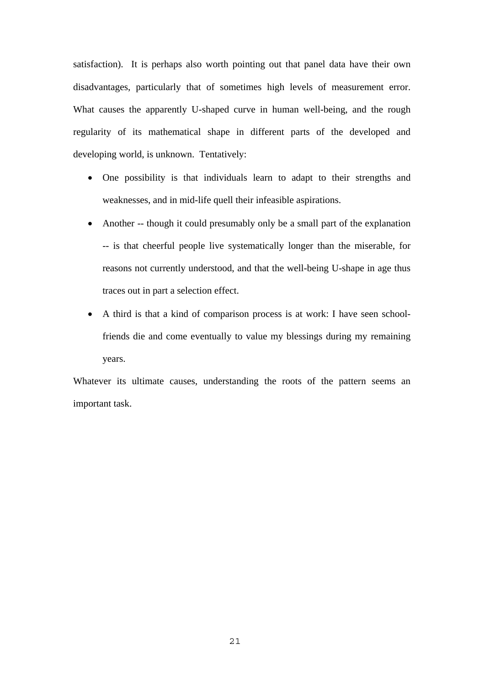satisfaction). It is perhaps also worth pointing out that panel data have their own disadvantages, particularly that of sometimes high levels of measurement error. What causes the apparently U-shaped curve in human well-being, and the rough regularity of its mathematical shape in different parts of the developed and developing world, is unknown. Tentatively:

- One possibility is that individuals learn to adapt to their strengths and weaknesses, and in mid-life quell their infeasible aspirations.
- Another -- though it could presumably only be a small part of the explanation -- is that cheerful people live systematically longer than the miserable, for reasons not currently understood, and that the well-being U-shape in age thus traces out in part a selection effect.
- A third is that a kind of comparison process is at work: I have seen schoolfriends die and come eventually to value my blessings during my remaining years.

Whatever its ultimate causes, understanding the roots of the pattern seems an important task.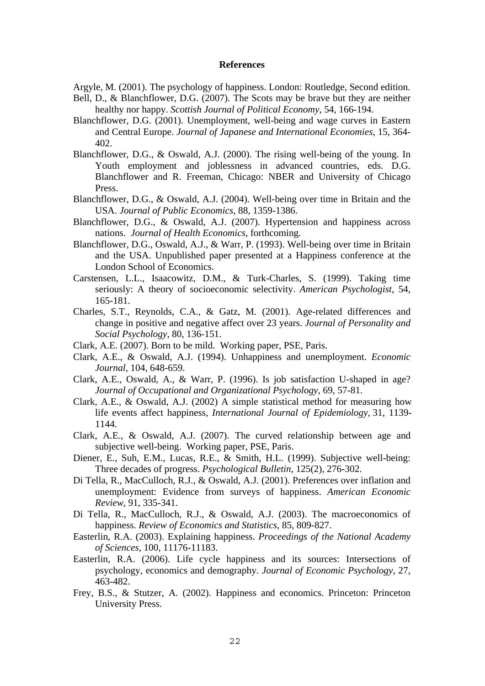#### **References**

- Argyle, M. (2001). The psychology of happiness. London: Routledge, Second edition.
- Bell, D., & Blanchflower, D.G. (2007). The Scots may be brave but they are neither healthy nor happy. *Scottish Journal of Political Economy*, 54, 166-194.
- Blanchflower, D.G. (2001). Unemployment, well-being and wage curves in Eastern and Central Europe. *Journal of Japanese and International Economies*, 15, 364- 402.
- Blanchflower, D.G., & Oswald, A.J. (2000). The rising well-being of the young. In Youth employment and joblessness in advanced countries, eds. D.G. Blanchflower and R. Freeman, Chicago: NBER and University of Chicago Press.
- Blanchflower, D.G., & Oswald, A.J. (2004). Well-being over time in Britain and the USA. *Journal of Public Economics*, 88, 1359-1386.
- Blanchflower, D.G., & Oswald, A.J. (2007). Hypertension and happiness across nations. *Journal of Health Economics*, forthcoming.
- Blanchflower, D.G., Oswald, A.J., & Warr, P. (1993). Well-being over time in Britain and the USA. Unpublished paper presented at a Happiness conference at the London School of Economics.
- Carstensen, L.L., Isaacowitz, D.M., & Turk-Charles, S. (1999). Taking time seriously: A theory of socioeconomic selectivity. *American Psychologist*, 54, 165-181.
- Charles, S.T., Reynolds, C.A., & Gatz, M. (2001). Age-related differences and change in positive and negative affect over 23 years. *Journal of Personality and Social Psychology*, 80, 136-151.
- Clark, A.E. (2007). Born to be mild. Working paper, PSE, Paris.
- Clark, A.E., & Oswald, A.J. (1994). Unhappiness and unemployment. *Economic Journal*, 104, 648-659.
- Clark, A.E., Oswald, A., & Warr, P. (1996). Is job satisfaction U-shaped in age? *Journal of Occupational and Organizational Psychology*, 69, 57-81.
- Clark, A.E., & Oswald, A.J. (2002) A simple statistical method for measuring how life events affect happiness, *International Journal of Epidemiology*, 31, 1139- 1144.
- Clark, A.E., & Oswald, A.J. (2007). The curved relationship between age and subjective well-being. Working paper, PSE, Paris.
- Diener, E., Suh, E.M., Lucas, R.E., & Smith, H.L. (1999). Subjective well-being: Three decades of progress. *Psychological Bulletin*, 125(2), 276-302.
- Di Tella, R., MacCulloch, R.J., & Oswald, A.J. (2001). Preferences over inflation and unemployment: Evidence from surveys of happiness. *American Economic Review*, 91, 335-341.
- Di Tella, R., MacCulloch, R.J., & Oswald, A.J. (2003). The macroeconomics of happiness. *Review of Economics and Statistics*, 85, 809-827.
- Easterlin, R.A. (2003). Explaining happiness. *Proceedings of the National Academy of Sciences*, 100, 11176-11183.
- Easterlin, R.A. (2006). Life cycle happiness and its sources: Intersections of psychology, economics and demography. *Journal of Economic Psychology*, 27, 463-482.
- Frey, B.S., & Stutzer, A. (2002). Happiness and economics. Princeton: Princeton University Press.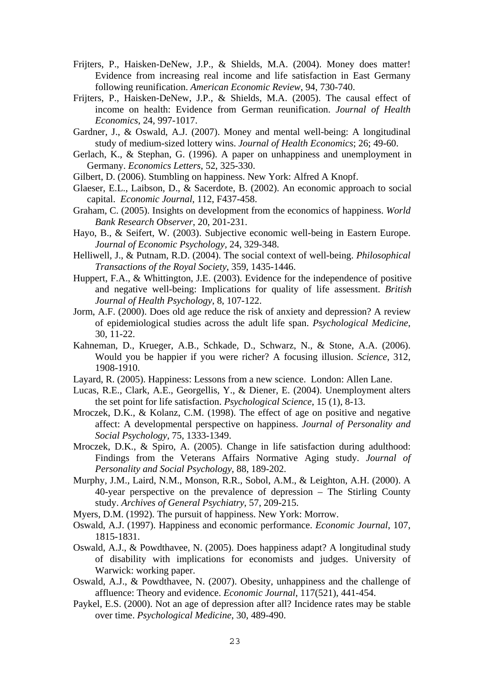- Frijters, P., Haisken-DeNew, J.P., & Shields, M.A. (2004). Money does matter! Evidence from increasing real income and life satisfaction in East Germany following reunification. *American Economic Review*, 94, 730-740.
- Frijters, P., Haisken-DeNew, J.P., & Shields, M.A. (2005). The causal effect of income on health: Evidence from German reunification. *Journal of Health Economics*, 24, 997-1017.
- Gardner, J., & Oswald, A.J. (2007). Money and mental well-being: A longitudinal study of medium-sized lottery wins. *Journal of Health Economics*; 26; 49-60.
- Gerlach, K., & Stephan, G. (1996). A paper on unhappiness and unemployment in Germany. *Economics Letters*, 52, 325-330.
- Gilbert, D. (2006). Stumbling on happiness. New York: Alfred A Knopf.
- Glaeser, E.L., Laibson, D., & Sacerdote, B. (2002). An economic approach to social capital. *Economic Journal*, 112, F437-458.
- Graham, C. (2005). Insights on development from the economics of happiness. *World Bank Research Observer*, 20, 201-231.
- Hayo, B., & Seifert, W. (2003). Subjective economic well-being in Eastern Europe. *Journal of Economic Psychology,* 24, 329-348.
- Helliwell, J., & Putnam, R.D. (2004). The social context of well-being. *Philosophical Transactions of the Royal Society*, 359, 1435-1446.
- Huppert, F.A., & Whittington, J.E. (2003). Evidence for the independence of positive and negative well-being: Implications for quality of life assessment. *British Journal of Health Psychology*, 8, 107-122.
- Jorm, A.F. (2000). Does old age reduce the risk of anxiety and depression? A review of epidemiological studies across the adult life span. *Psychological Medicine*, 30, 11-22.
- Kahneman, D., Krueger, A.B., Schkade, D., Schwarz, N., & Stone, A.A. (2006). Would you be happier if you were richer? A focusing illusion. *Science*, 312, 1908-1910.
- Layard, R. (2005). Happiness: Lessons from a new science. London: Allen Lane.
- Lucas, R.E., Clark, A.E., Georgellis, Y., & Diener, E. (2004). Unemployment alters the set point for life satisfaction. *Psychological Science*, 15 (1), 8-13.
- Mroczek, D.K., & Kolanz, C.M. (1998). The effect of age on positive and negative affect: A developmental perspective on happiness. *Journal of Personality and Social Psychology*, 75, 1333-1349.
- Mroczek, D.K., & Spiro, A. (2005). Change in life satisfaction during adulthood: Findings from the Veterans Affairs Normative Aging study. *Journal of Personality and Social Psychology*, 88, 189-202.
- Murphy, J.M., Laird, N.M., Monson, R.R., Sobol, A.M., & Leighton, A.H. (2000). A 40-year perspective on the prevalence of depression – The Stirling County study. *Archives of General Psychiatry*, 57, 209-215.
- Myers, D.M. (1992). The pursuit of happiness. New York: Morrow.
- Oswald, A.J. (1997). Happiness and economic performance. *Economic Journal*, 107, 1815-1831.
- Oswald, A.J., & Powdthavee, N. (2005). Does happiness adapt? A longitudinal study of disability with implications for economists and judges. University of Warwick: working paper.
- Oswald, A.J., & Powdthavee, N. (2007). Obesity, unhappiness and the challenge of affluence: Theory and evidence. *Economic Journal*, 117(521), 441-454.
- Paykel, E.S. (2000). Not an age of depression after all? Incidence rates may be stable over time. *Psychological Medicine*, 30, 489-490.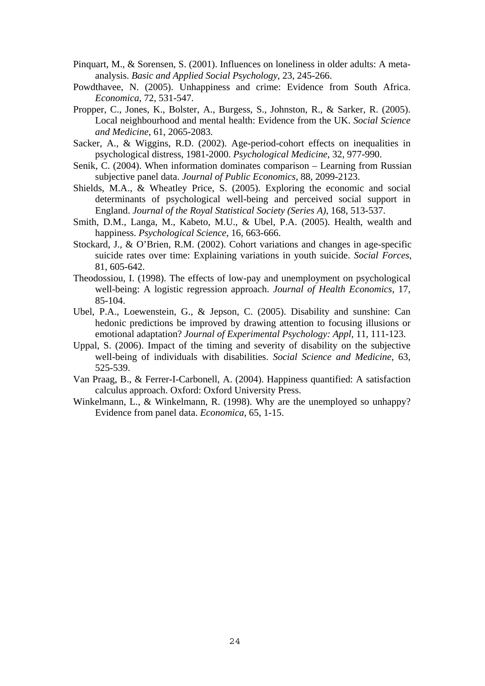- Pinquart, M., & Sorensen, S. (2001). Influences on loneliness in older adults: A metaanalysis. *Basic and Applied Social Psychology*, 23, 245-266.
- Powdthavee, N. (2005). Unhappiness and crime: Evidence from South Africa. *Economica*, 72, 531-547.
- Propper, C., Jones, K., Bolster, A., Burgess, S., Johnston, R., & Sarker, R. (2005). Local neighbourhood and mental health: Evidence from the UK. *Social Science and Medicine*, 61, 2065-2083.
- Sacker, A., & Wiggins, R.D. (2002). Age-period-cohort effects on inequalities in psychological distress, 1981-2000. *Psychological Medicine*, 32, 977-990.
- Senik, C. (2004). When information dominates comparison Learning from Russian subjective panel data. *Journal of Public Economics*, 88, 2099-2123.
- Shields, M.A., & Wheatley Price, S. (2005). Exploring the economic and social determinants of psychological well-being and perceived social support in England. *Journal of the Royal Statistical Society (Series A)*, 168, 513-537.
- Smith, D.M., Langa, M., Kabeto, M.U., & Ubel, P.A. (2005). Health, wealth and happiness. *Psychological Science*, 16, 663-666.
- Stockard, J., & O'Brien, R.M. (2002). Cohort variations and changes in age-specific suicide rates over time: Explaining variations in youth suicide. *Social Forces*, 81, 605-642.
- Theodossiou, I. (1998). The effects of low-pay and unemployment on psychological well-being: A logistic regression approach. *Journal of Health Economics*, 17, 85-104.
- Ubel, P.A., Loewenstein, G., & Jepson, C. (2005). Disability and sunshine: Can hedonic predictions be improved by drawing attention to focusing illusions or emotional adaptation? *Journal of Experimental Psychology: Appl*, 11, 111-123.
- Uppal, S. (2006). Impact of the timing and severity of disability on the subjective well-being of individuals with disabilities. *Social Science and Medicine*, 63, 525-539.
- Van Praag, B., & Ferrer-I-Carbonell, A. (2004). Happiness quantified: A satisfaction calculus approach. Oxford: Oxford University Press.
- Winkelmann, L., & Winkelmann, R. (1998). Why are the unemployed so unhappy? Evidence from panel data. *Economica*, 65, 1-15.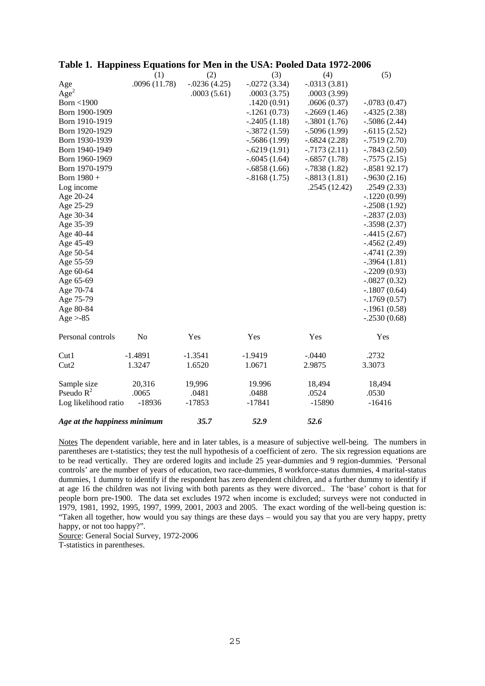|                              | (1)            | (2)            | (3)            | (4)            | (5)             |
|------------------------------|----------------|----------------|----------------|----------------|-----------------|
| Age                          | .0096 (11.78)  | $-.0236(4.25)$ | $-.0272(3.34)$ | $-.0313(3.81)$ |                 |
| Age <sup>2</sup>             |                | .0003(5.61)    | .0003(3.75)    | .0003(3.99)    |                 |
| Born $<$ 1900                |                |                | .1420(0.91)    | .0606(0.37)    | $-.0783(0.47)$  |
| Born 1900-1909               |                |                | $-.1261(0.73)$ | $-.2669(1.46)$ | $-.4325(2.38)$  |
| Born 1910-1919               |                |                | $-.2405(1.18)$ | $-.3801(1.76)$ | $-.5086(2.44)$  |
| Born 1920-1929               |                |                | $-.3872(1.59)$ | $-.5096(1.99)$ | $-.6115(2.52)$  |
| Born 1930-1939               |                |                | $-.5686(1.99)$ | $-.6824(2.28)$ | $-0.7519(2.70)$ |
| Born 1940-1949               |                |                | $-.6219(1.91)$ | $-.7173(2.11)$ | $-.7843(2.50)$  |
| Born 1960-1969               |                |                | $-.6045(1.64)$ | $-.6857(1.78)$ | $-0.7575(2.15)$ |
| Born 1970-1979               |                |                | $-.6858(1.66)$ | $-.7838(1.82)$ | $-.858192.17)$  |
| Born 1980 +                  |                |                | $-.8168(1.75)$ | $-.8813(1.81)$ | $-0.9630(2.16)$ |
| Log income                   |                |                |                | .2545(12.42)   | .2549(2.33)     |
| Age 20-24                    |                |                |                |                | $-.1220(0.99)$  |
| Age 25-29                    |                |                |                |                | $-.2508(1.92)$  |
| Age 30-34                    |                |                |                |                | $-.2837(2.03)$  |
| Age 35-39                    |                |                |                |                | $-.3598(2.37)$  |
| Age 40-44                    |                |                |                |                | $-.4415(2.67)$  |
| Age 45-49                    |                |                |                |                | $-0.4562(2.49)$ |
| Age 50-54                    |                |                |                |                | $-.4741(2.39)$  |
| Age 55-59                    |                |                |                |                | $-.3964(1.81)$  |
| Age 60-64                    |                |                |                |                | $-.2209(0.93)$  |
| Age 65-69                    |                |                |                |                | $-.0827(0.32)$  |
| Age 70-74                    |                |                |                |                | $-.1807(0.64)$  |
| Age 75-79                    |                |                |                |                | $-.1769(0.57)$  |
| Age 80-84                    |                |                |                |                | $-.1961(0.58)$  |
| $Age > -85$                  |                |                |                |                | $-.2530(0.68)$  |
| Personal controls            | N <sub>o</sub> | Yes            | Yes            | Yes            | Yes             |
| Cut1                         | $-1.4891$      | $-1.3541$      | -1.9419        | $-.0440$       | .2732           |
| Cut2                         | 1.3247         | 1.6520         | 1.0671         | 2.9875         | 3.3073          |
| Sample size                  | 20,316         | 19,996         | 19.996         | 18,494         | 18,494          |
| Pseudo $R^2$                 | .0065          | .0481          | .0488          | .0524          | .0530           |
| Log likelihood ratio         | $-18936$       | $-17853$       | $-17841$       | $-15890$       | $-16416$        |
| Age at the happiness minimum |                | 35.7           | 52.9           | 52.6           |                 |

#### **Table 1. Happiness Equations for Men in the USA: Pooled Data 1972-2006**

Notes The dependent variable, here and in later tables, is a measure of subjective well-being. The numbers in parentheses are t-statistics; they test the null hypothesis of a coefficient of zero. The six regression equations are to be read vertically. They are ordered logits and include 25 year-dummies and 9 region-dummies. 'Personal controls' are the number of years of education, two race-dummies, 8 workforce-status dummies, 4 marital-status dummies, 1 dummy to identify if the respondent has zero dependent children, and a further dummy to identify if at age 16 the children was not living with both parents as they were divorced.. The 'base' cohort is that for people born pre-1900. The data set excludes 1972 when income is excluded; surveys were not conducted in 1979, 1981, 1992, 1995, 1997, 1999, 2001, 2003 and 2005. The exact wording of the well-being question is: "Taken all together, how would you say things are these days – would you say that you are very happy, pretty happy, or not too happy?".

Source: General Social Survey, 1972-2006

T-statistics in parentheses.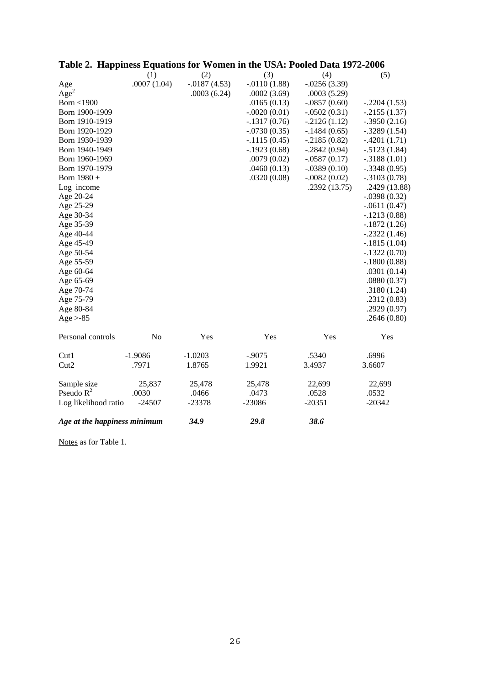|                              | (1)            | (2)            | (3)            | (4)            | (5)            |
|------------------------------|----------------|----------------|----------------|----------------|----------------|
| Age                          | .0007(1.04)    | $-.0187(4.53)$ | $-.0110(1.88)$ | $-.0256(3.39)$ |                |
| Age <sup>2</sup>             |                | .0003(6.24)    | .0002(3.69)    | .0003(5.29)    |                |
| Born $<$ 1900                |                |                | .0165(0.13)    | $-.0857(0.60)$ | $-.2204(1.53)$ |
| Born 1900-1909               |                |                | $-.0020(0.01)$ | $-.0502(0.31)$ | $-.2155(1.37)$ |
| Born 1910-1919               |                |                | $-.1317(0.76)$ | $-2126(1.12)$  | $-.3950(2.16)$ |
| Born 1920-1929               |                |                | $-.0730(0.35)$ | $-.1484(0.65)$ | $-.3289(1.54)$ |
| Born 1930-1939               |                |                | $-.1115(0.45)$ | $-.2185(0.82)$ | $-.4201(1.71)$ |
| Born 1940-1949               |                |                | $-.1923(0.68)$ | $-.2842(0.94)$ | $-.5123(1.84)$ |
| Born 1960-1969               |                |                | .0079(0.02)    | $-.0587(0.17)$ | $-.3188(1.01)$ |
| Born 1970-1979               |                |                | .0460(0.13)    | $-.0389(0.10)$ | $-.3348(0.95)$ |
| Born 1980 +                  |                |                | .0320(0.08)    | $-.0082(0.02)$ | $-.3103(0.78)$ |
| Log income                   |                |                |                | .2392(13.75)   | .2429 (13.88)  |
| Age 20-24                    |                |                |                |                | $-.0398(0.32)$ |
| Age 25-29                    |                |                |                |                | $-.0611(0.47)$ |
| Age 30-34                    |                |                |                |                | $-.1213(0.88)$ |
| Age 35-39                    |                |                |                |                | $-.1872(1.26)$ |
| Age 40-44                    |                |                |                |                | $-.2322(1.46)$ |
| Age 45-49                    |                |                |                |                | $-.1815(1.04)$ |
| Age 50-54                    |                |                |                |                | $-.1322(0.70)$ |
| Age 55-59                    |                |                |                |                | $-.1800(0.88)$ |
| Age 60-64                    |                |                |                |                | .0301(0.14)    |
| Age 65-69                    |                |                |                |                | .0880(0.37)    |
| Age 70-74                    |                |                |                |                | .3180(1.24)    |
| Age 75-79                    |                |                |                |                | .2312(0.83)    |
| Age 80-84                    |                |                |                |                | .2929(0.97)    |
| $Age > -85$                  |                |                |                |                | .2646(0.80)    |
|                              |                |                |                |                |                |
| Personal controls            | N <sub>o</sub> | Yes            | Yes            | Yes            | Yes            |
| Cut1                         | $-1.9086$      | $-1.0203$      | $-.9075$       | .5340          | .6996          |
| Cut2                         | .7971          | 1.8765         | 1.9921         | 3.4937         | 3.6607         |
| Sample size                  | 25,837         | 25,478         | 25,478         | 22,699         | 22,699         |
| Pseudo $R^2$                 | .0030          | .0466          | .0473          | .0528          | .0532          |
| Log likelihood ratio         | $-24507$       | $-23378$       | $-23086$       | $-20351$       | $-20342$       |
| Age at the happiness minimum |                | 34.9           | 29.8           | 38.6           |                |

## **Table 2. Happiness Equations for Women in the USA: Pooled Data 1972-2006**

Notes as for Table 1.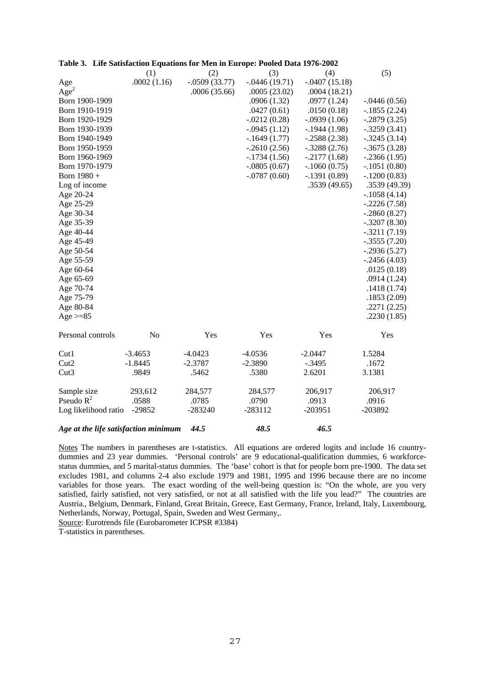|                                      | (1)            | (2)             | (3)             | (4)             | (5)            |
|--------------------------------------|----------------|-----------------|-----------------|-----------------|----------------|
| Age                                  | .0002(1.16)    | $-.0509(33.77)$ | $-.0446(19.71)$ | $-.0407(15.18)$ |                |
| Age <sup>2</sup>                     |                | .0006(35.66)    | .0005(23.02)    | .0004(18.21)    |                |
| Born 1900-1909                       |                |                 | .0906(1.32)     | .0977(1.24)     | $-.0446(0.56)$ |
| Born 1910-1919                       |                |                 | .0427(0.61)     | .0150(0.18)     | $-.1855(2.24)$ |
| Born 1920-1929                       |                |                 | $-.0212(0.28)$  | $-.0939(1.06)$  | $-.2879(3.25)$ |
| Born 1930-1939                       |                |                 | $-.0945(1.12)$  | $-.1944(1.98)$  | $-.3259(3.41)$ |
| Born 1940-1949                       |                |                 | $-.1649(1.77)$  | $-.2588(2.38)$  | $-.3245(3.14)$ |
| Born 1950-1959                       |                |                 | $-.2610(2.56)$  | $-.3288(2.76)$  | $-.3675(3.28)$ |
| Born 1960-1969                       |                |                 | $-.1734(1.56)$  | $-.2177(1.68)$  | $-.2366(1.95)$ |
| Born 1970-1979                       |                |                 | $-.0805(0.67)$  | $-.1060(0.75)$  | $-.1051(0.80)$ |
| Born 1980 +                          |                |                 | $-.0787(0.60)$  | $-.1391(0.89)$  | $-.1200(0.83)$ |
| Log of income                        |                |                 |                 | .3539(49.65)    | .3539(49.39)   |
| Age 20-24                            |                |                 |                 |                 | $-.1058(4.14)$ |
| Age 25-29                            |                |                 |                 |                 | $-.2226(7.58)$ |
| Age 30-34                            |                |                 |                 |                 | $-.2860(8.27)$ |
| Age 35-39                            |                |                 |                 |                 | $-.3207(8.30)$ |
| Age 40-44                            |                |                 |                 |                 | $-.3211(7.19)$ |
| Age 45-49                            |                |                 |                 |                 | $-.3555(7.20)$ |
| Age 50-54                            |                |                 |                 |                 | $-.2936(5.27)$ |
| Age 55-59                            |                |                 |                 |                 | $-.2456(4.03)$ |
| Age 60-64                            |                |                 |                 |                 | .0125(0.18)    |
| Age 65-69                            |                |                 |                 |                 | .0914(1.24)    |
| Age 70-74                            |                |                 |                 |                 | .1418(1.74)    |
| Age 75-79                            |                |                 |                 |                 | .1853(2.09)    |
| Age 80-84                            |                |                 |                 |                 | .2271(2.25)    |
| Age $>= 85$                          |                |                 |                 |                 | .2230(1.85)    |
| Personal controls                    | N <sub>0</sub> | Yes             | Yes             | Yes             | Yes            |
| Cut1                                 | $-3.4653$      | $-4.0423$       | $-4.0536$       | $-2.0447$       | 1.5284         |
| Cut2                                 | $-1.8445$      | $-2.3787$       | $-2.3890$       | $-.3495$        | .1672          |
| Cut3                                 | .9849          | .5462           | .5380           | 2.6201          | 3.1381         |
| Sample size                          | 293,612        | 284,577         | 284,577         | 206,917         | 206,917        |
| Pseudo $R^2$                         | .0588          | .0785           | .0790           | .0913           | .0916          |
| Log likelihood ratio                 | $-29852$       | $-283240$       | $-283112$       | $-203951$       | -203892        |
| Age at the life satisfaction minimum |                | 44.5            | 48.5            | 46.5            |                |

#### **Table 3. Life Satisfaction Equations for Men in Europe: Pooled Data 1976-2002**

Notes The numbers in parentheses are t-statistics. All equations are ordered logits and include 16 countrydummies and 23 year dummies. 'Personal controls' are 9 educational-qualification dummies, 6 workforcestatus dummies, and 5 marital-status dummies. The 'base' cohort is that for people born pre-1900. The data set excludes 1981, and columns 2-4 also exclude 1979 and 1981, 1995 and 1996 because there are no income variables for those years. The exact wording of the well-being question is: "On the whole, are you very satisfied, fairly satisfied, not very satisfied, or not at all satisfied with the life you lead?" The countries are Austria., Belgium, Denmark, Finland, Great Britain, Greece, East Germany, France, Ireland, Italy, Luxembourg, Netherlands, Norway, Portugal, Spain, Sweden and West Germany,.

Source: Eurotrends file (Eurobarometer ICPSR #3384)

T-statistics in parentheses.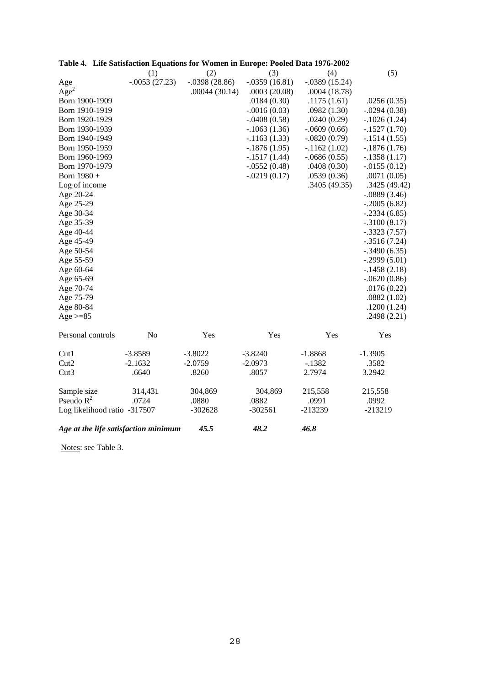|                                      | (1)             | (2)             | (3)             | (4)             | (5)             |
|--------------------------------------|-----------------|-----------------|-----------------|-----------------|-----------------|
| Age                                  | $-.0053(27.23)$ | $-.0398(28.86)$ | $-.0359(16.81)$ | $-.0389(15.24)$ |                 |
| Age <sup>2</sup>                     |                 | .00044(30.14)   | .0003(20.08)    | .0004(18.78)    |                 |
| Born 1900-1909                       |                 |                 | .0184(0.30)     | .1175(1.61)     | .0256(0.35)     |
| Born 1910-1919                       |                 |                 | $-.0016(0.03)$  | .0982(1.30)     | $-.0294(0.38)$  |
| Born 1920-1929                       |                 |                 | $-.0408(0.58)$  | .0240(0.29)     | $-.1026(1.24)$  |
| Born 1930-1939                       |                 |                 | $-1063(1.36)$   | $-.0609(0.66)$  | $-.1527(1.70)$  |
| Born 1940-1949                       |                 |                 | $-1163(1.33)$   | $-.0820(0.79)$  | $-.1514(1.55)$  |
| Born 1950-1959                       |                 |                 | $-1876(1.95)$   | $-.1162(1.02)$  | $-1876(1.76)$   |
| Born 1960-1969                       |                 |                 | $-.1517(1.44)$  | $-.0686(0.55)$  | $-.1358(1.17)$  |
| Born 1970-1979                       |                 |                 | $-.0552(0.48)$  | .0408(0.30)     | $-0.0155(0.12)$ |
| Born 1980 +                          |                 |                 | $-.0219(0.17)$  | .0539(0.36)     | .0071(0.05)     |
| Log of income                        |                 |                 |                 | .3405(49.35)    | .3425(49.42)    |
| Age 20-24                            |                 |                 |                 |                 | $-.0889(3.46)$  |
| Age 25-29                            |                 |                 |                 |                 | $-.2005(6.82)$  |
| Age 30-34                            |                 |                 |                 |                 | $-.2334(6.85)$  |
| Age 35-39                            |                 |                 |                 |                 | $-.3100(8.17)$  |
| Age 40-44                            |                 |                 |                 |                 | $-.3323(7.57)$  |
| Age 45-49                            |                 |                 |                 |                 | $-.3516(7.24)$  |
| Age 50-54                            |                 |                 |                 |                 | $-.3490(6.35)$  |
| Age 55-59                            |                 |                 |                 |                 | $-.2999(5.01)$  |
| Age 60-64                            |                 |                 |                 |                 | $-.1458(2.18)$  |
| Age 65-69                            |                 |                 |                 |                 | $-.0620(0.86)$  |
| Age 70-74                            |                 |                 |                 |                 | .0176(0.22)     |
| Age 75-79                            |                 |                 |                 |                 | .0882(1.02)     |
| Age 80-84                            |                 |                 |                 |                 | .1200(1.24)     |
| Age $>=85$                           |                 |                 |                 |                 | .2498(2.21)     |
| Personal controls                    | N <sub>0</sub>  | Yes             | Yes             | Yes             | Yes             |
| Cut1                                 | $-3.8589$       | $-3.8022$       | $-3.8240$       | $-1.8868$       | $-1.3905$       |
| Cut2                                 | $-2.1632$       | $-2.0759$       | $-2.0973$       | $-.1382$        | .3582           |
| Cut3                                 | .6640           | .8260           | .8057           | 2.7974          | 3.2942          |
| Sample size                          | 314,431         | 304,869         | 304,869         | 215,558         | 215,558         |
| Pseudo $R^2$                         | .0724           | .0880           | .0882           | .0991           | .0992           |
| Log likelihood ratio -317507         |                 | $-302628$       | $-302561$       | $-213239$       | $-213219$       |
| Age at the life satisfaction minimum |                 | 45.5            | 48.2            | 46.8            |                 |

| Table 4. Life Satisfaction Equations for Women in Europe: Pooled Data 1976-2002 |  |
|---------------------------------------------------------------------------------|--|
|---------------------------------------------------------------------------------|--|

Notes: see Table 3.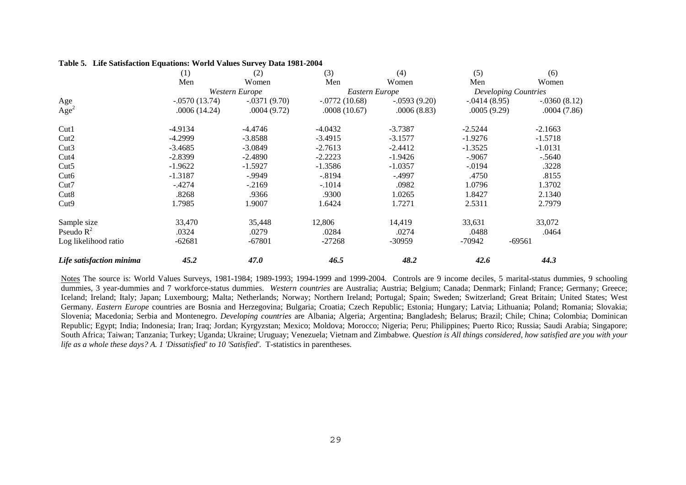#### **Table 5. Life Satisfaction Equations: World Values Survey Data 1981-2004**

|                          | (1)             | (2)            | (3)             | (4)            | (5)            | (6)                         |
|--------------------------|-----------------|----------------|-----------------|----------------|----------------|-----------------------------|
|                          | Men             | Women          | Men             | Women          | Men            | Women                       |
|                          |                 | Western Europe | Eastern Europe  |                |                | <b>Developing Countries</b> |
| Age                      | $-.0570(13.74)$ | $-.0371(9.70)$ | $-.0772(10.68)$ | $-.0593(9.20)$ | $-.0414(8.95)$ | $-.0360(8.12)$              |
| Age <sup>2</sup>         | .0006(14.24)    | .0004(9.72)    | .0008(10.67)    | .0006(8.83)    | .0005(9.29)    | .0004(7.86)                 |
| Cut1                     | $-4.9134$       | $-4.4746$      | $-4.0432$       | $-3.7387$      | $-2.5244$      | $-2.1663$                   |
| Cut2                     | $-4.2999$       | $-3.8588$      | $-3.4915$       | $-3.1577$      | $-1.9276$      | $-1.5718$                   |
| Cut3                     | $-3.4685$       | $-3.0849$      | $-2.7613$       | $-2.4412$      | $-1.3525$      | $-1.0131$                   |
| Cut4                     | $-2.8399$       | $-2.4890$      | $-2.2223$       | $-1.9426$      | $-.9067$       | $-.5640$                    |
| Cut5                     | $-1.9622$       | $-1.5927$      | $-1.3586$       | $-1.0357$      | $-.0194$       | .3228                       |
| Cut <sub>6</sub>         | $-1.3187$       | $-0.9949$      | $-.8194$        | $-.4997$       | .4750          | .8155                       |
| Cut7                     | $-.4274$        | $-2169$        | $-.1014$        | .0982          | 1.0796         | 1.3702                      |
| Cut <sub>8</sub>         | .8268           | .9366          | .9300           | 1.0265         | 1.8427         | 2.1340                      |
| Cut <sub>9</sub>         | 1.7985          | 1.9007         | 1.6424          | 1.7271         | 2.5311         | 2.7979                      |
| Sample size              | 33,470          | 35,448         | 12,806          | 14,419         | 33,631         | 33,072                      |
| Pseudo $R^2$             | .0324           | .0279          | .0284           | .0274          | .0488          | .0464                       |
| Log likelihood ratio     | $-62681$        | $-67801$       | $-27268$        | $-30959$       | -70942         | $-69561$                    |
| Life satisfaction minima | 45.2            | <b>47.0</b>    | 46.5            | 48.2           | 42.6           | 44.3                        |

Notes The source is: World Values Surveys, 1981-1984; 1989-1993; 1994-1999 and 1999-2004. Controls are 9 income deciles, 5 marital-status dummies, 9 schooling dummies, 3 year-dummies and 7 workforce-status dummies. Western countries are Australia; Austria; Belgium; Canada; Denmark; Finland; France; Germany; Greece; Iceland; Ireland; Italy; Japan; Luxembourg; Malta; Netherlands; Norway; Northern Ireland; Portugal; Spain; Sweden; Switzerland; Great Britain; United States; West Germany. *Eastern Europe* countries are Bosnia and Herzegovina; Bulgaria; Croatia; Czech Republic; Estonia; Hungary; Latvia; Lithuania; Poland; Romania; Slovakia; Slovenia; Macedonia; Serbia and Montenegro. *Developing countries* are Albania; Algeria; Argentina; Bangladesh; Belarus; Brazil; Chile; China; Colombia; Dominican Republic; Egypt; India; Indonesia; Iran; Iraq; Jordan; Kyrgyzstan; Mexico; Moldova; Morocco; Nigeria; Peru; Philippines; Puerto Rico; Russia; Saudi Arabia; Singapore; South Africa; Taiwan; Tanzania; Turkey; Uganda; Ukraine; Uruguay; Venezuela; Vietnam and Zimbabwe. *Question is All things considered, how satisfied are you with your life as a whole these days? A. 1 'Dissatisfied' to 10 'Satisfied'.* T-statistics in parentheses.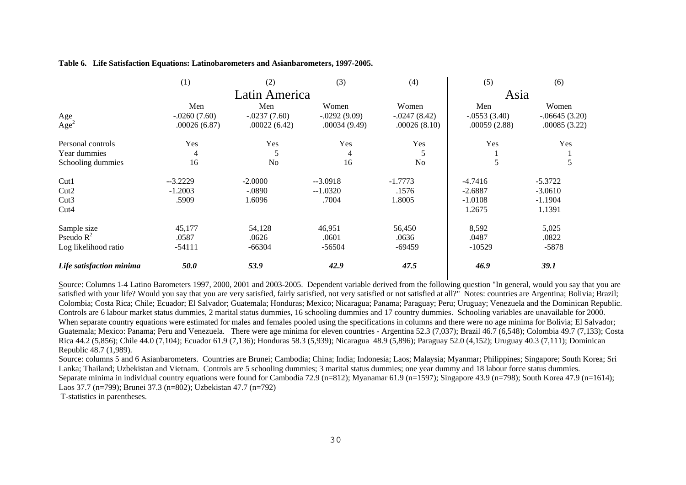| Table 6. Life Satisfaction Equations: Latinobarometers and Asianbarometers, 1997-2005. |  |  |  |
|----------------------------------------------------------------------------------------|--|--|--|
|                                                                                        |  |  |  |

|                          | (1)            | (2)            | (3)             | (4)            | (5)            | (6)             |
|--------------------------|----------------|----------------|-----------------|----------------|----------------|-----------------|
|                          |                | Latin America  |                 |                | Asia           |                 |
|                          | Men            | Men            | Women           | Women          | Men            | Women           |
| Age                      | $-.0260(7.60)$ | $-.0237(7.60)$ | $-0.0292(9.09)$ | $-.0247(8.42)$ | $-.0553(3.40)$ | $-.06645(3.20)$ |
| Age <sup>2</sup>         | .00026(6.87)   | .00022(6.42)   | .00034(9.49)    | .00026(8.10)   | .00059(2.88)   | .00085(3.22)    |
| Personal controls        | Yes            | Yes            | Yes             | Yes            | Yes            | Yes             |
| Year dummies             | 4              | 5              | 4               | 5              |                |                 |
| Schooling dummies        | 16             | N <sub>0</sub> | 16              | N <sub>o</sub> | 5              | 5               |
| Cut1                     | $-3.2229$      | $-2.0000$      | $-3.0918$       | $-1.7773$      | $-4.7416$      | $-5.3722$       |
| Cut2                     | $-1.2003$      | $-.0890$       | $-1.0320$       | .1576          | $-2.6887$      | $-3.0610$       |
| Cut3                     | .5909          | 1.6096         | .7004           | 1.8005         | $-1.0108$      | $-1.1904$       |
| Cut <sub>4</sub>         |                |                |                 |                | 1.2675         | 1.1391          |
| Sample size              | 45,177         | 54,128         | 46,951          | 56,450         | 8,592          | 5,025           |
| Pseudo $R^2$             | .0587          | .0626          | .0601           | .0636          | .0487          | .0822           |
| Log likelihood ratio     | $-54111$       | $-66304$       | $-56504$        | $-69459$       | $-10529$       | $-5878$         |
| Life satisfaction minima | 50.0           | 53.9           | 42.9            | 47.5           | 46.9           | <b>39.1</b>     |

Source: Columns 1-4 Latino Barometers 1997, 2000, 2001 and 2003-2005. Dependent variable derived from the following question "In general, would you say that you are satisfied with your life? Would you say that you are very satisfied, fairly satisfied, not very satisfied or not satisfied at all?" Notes: countries are Argentina; Bolivia; Brazil; Colombia; Costa Rica; Chile; Ecuador; El Salvador; Guatemala; Honduras; Mexico; Nicaragua; Panama; Paraguay; Peru; Uruguay; Venezuela and the Dominican Republic. Controls are 6 labour market status dummies, 2 marital status dummies, 16 schooling dummies and 17 country dummies. Schooling variables are unavailable for 2000. When separate country equations were estimated for males and females pooled using the specifications in columns and there were no age minima for Bolivia; El Salvador; Guatemala; Mexico: Panama; Peru and Venezuela. There were age minima for eleven countries - Argentina 52.3 (7,037); Brazil 46.7 (6,548); Colombia 49.7 (7,133); Costa Rica 44.2 (5,856); Chile 44.0 (7,104); Ecuador 61.9 (7,136); Honduras 58.3 (5,939); Nicaragua 48.9 (5,896); Paraguay 52.0 (4,152); Uruguay 40.3 (7,111); Dominican Republic 48.7 (1,989).

Source: columns 5 and 6 Asianbarometers. Countries are Brunei; Cambodia; China; India; Indonesia; Laos; Malaysia; Myanmar; Philippines; Singapore; South Korea; Sri Lanka; Thailand; Uzbekistan and Vietnam. Controls are 5 schooling dummies; 3 marital status dummies; one year dummy and 18 labour force status dummies. Separate minima in individual country equations were found for Cambodia 72.9 (n=812); Myanamar 61.9 (n=1597); Singapore 43.9 (n=798); South Korea 47.9 (n=1614); Laos 37.7 (n=799); Brunei 37.3 (n=802); Uzbekistan 47.7 (n=792)

T-statistics in parentheses.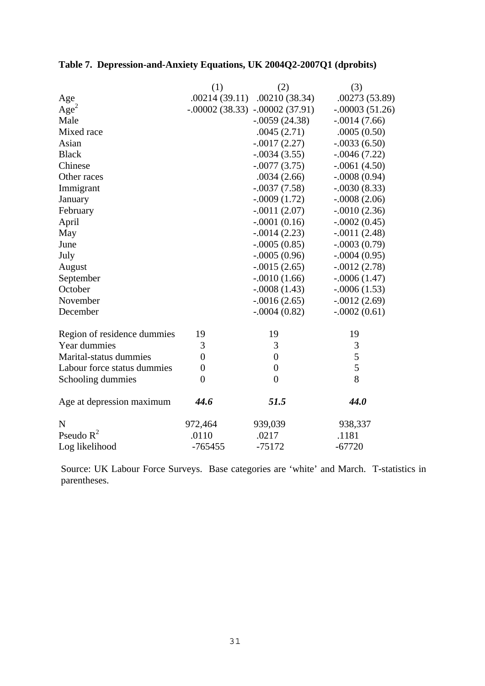### **Table 7. Depression-and-Anxiety Equations, UK 2004Q2-2007Q1 (dprobits)**

|                             | (1)              | (2)                              | (3)              |
|-----------------------------|------------------|----------------------------------|------------------|
| Age                         | .00214(39.11)    | .00210(38.34)                    | .00273 (53.89)   |
| Age <sup>2</sup>            |                  | $-.00002(38.33) - .00002(37.91)$ | $-.00003(51.26)$ |
| Male                        |                  | $-.0059(24.38)$                  | $-.0014(7.66)$   |
| Mixed race                  |                  | .0045(2.71)                      | .0005(0.50)      |
| Asian                       |                  | $-.0017(2.27)$                   | $-.0033(6.50)$   |
| <b>Black</b>                |                  | $-.0034(3.55)$                   | $-0.0046(7.22)$  |
| Chinese                     |                  | $-.0077(3.75)$                   | $-.0061(4.50)$   |
| Other races                 |                  | .0034(2.66)                      | $-.0008(0.94)$   |
| Immigrant                   |                  | $-.0037(7.58)$                   | $-.0030(8.33)$   |
| January                     |                  | $-.0009(1.72)$                   | $-.0008(2.06)$   |
| February                    |                  | $-.0011(2.07)$                   | $-.0010(2.36)$   |
| April                       |                  | $-.0001(0.16)$                   | $-.0002(0.45)$   |
| May                         |                  | $-.0014(2.23)$                   | $-.0011(2.48)$   |
| June                        |                  | $-.0005(0.85)$                   | $-.0003(0.79)$   |
| July                        |                  | $-.0005(0.96)$                   | $-.0004(0.95)$   |
| August                      |                  | $-.0015(2.65)$                   | $-.0012(2.78)$   |
| September                   |                  | $-.0010(1.66)$                   | $-.0006(1.47)$   |
| October                     |                  | $-.0008(1.43)$                   | $-.0006(1.53)$   |
| November                    |                  | $-.0016(2.65)$                   | $-.0012(2.69)$   |
| December                    |                  | $-.0004(0.82)$                   | $-.0002(0.61)$   |
| Region of residence dummies | 19               | 19                               | 19               |
| Year dummies                | 3                | 3                                | 3                |
| Marital-status dummies      | $\overline{0}$   | $\overline{0}$                   | 5                |
| Labour force status dummies | $\boldsymbol{0}$ | $\boldsymbol{0}$                 | 5                |
| Schooling dummies           | $\overline{0}$   | $\overline{0}$                   | 8                |
| Age at depression maximum   | 44.6             | 51.5                             | 44.0             |
| N                           | 972,464          | 939,039                          | 938,337          |
| Pseudo $R^2$                | .0110            | .0217                            | .1181            |
| Log likelihood              | $-765455$        | $-75172$                         | $-67720$         |

Source: UK Labour Force Surveys. Base categories are 'white' and March. T-statistics in parentheses.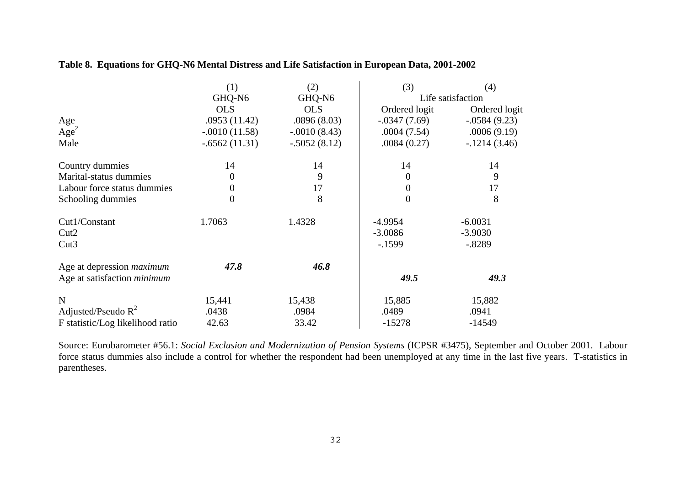|                                    | (1)             | (2)            | (3)            | (4)               |
|------------------------------------|-----------------|----------------|----------------|-------------------|
|                                    | GHQ-N6          | GHQ-N6         |                | Life satisfaction |
|                                    | <b>OLS</b>      | <b>OLS</b>     | Ordered logit  | Ordered logit     |
| Age                                | .0953(11.42)    | .0896(8.03)    | $-.0347(7.69)$ | $-.0584(9.23)$    |
| Age <sup>2</sup>                   | $-.0010(11.58)$ | $-.0010(8.43)$ | .0004(7.54)    | .0006(9.19)       |
| Male                               | $-.6562(11.31)$ | $-.5052(8.12)$ | .0084(0.27)    | $-1214(3.46)$     |
| Country dummies                    | 14              | 14             | 14             | 14                |
| Marital-status dummies             | $\overline{0}$  | 9              | 0              | 9                 |
| Labour force status dummies        | $\Omega$        | 17             | 0              | 17                |
| Schooling dummies                  | 0               | 8              | 0              | 8                 |
| Cut1/Constant                      | 1.7063          | 1.4328         | $-4.9954$      | $-6.0031$         |
| Cut2                               |                 |                | $-3.0086$      | $-3.9030$         |
| Cut3                               |                 |                | $-1599$        | $-.8289$          |
| Age at depression <i>maximum</i>   | 47.8            | 46.8           |                |                   |
| Age at satisfaction <i>minimum</i> |                 |                | 49.5           | 49.3              |
| N                                  | 15,441          | 15,438         | 15,885         | 15,882            |
| Adjusted/Pseudo $R^2$              | .0438           | .0984          | .0489          | .0941             |
| F statistic/Log likelihood ratio   | 42.63           | 33.42          | $-15278$       | $-14549$          |

### **Table 8. Equations for GHQ-N6 Mental Distress and Life Satisfaction in European Data, 2001-2002**

Source: Eurobarometer #56.1: *Social Exclusion and Modernization of Pension Systems* (ICPSR #3475), September and October 2001. Labour force status dummies also include a control for whether the respondent had been unemployed at any time in the last five years. T-statistics in parentheses.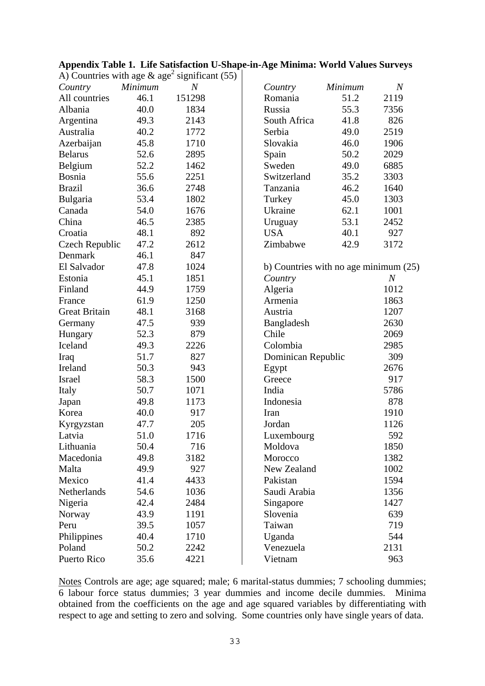| Appendix Table 1. Life Satisfaction U-Shape-in-Age Minima: World Values Surveys |  |  |  |
|---------------------------------------------------------------------------------|--|--|--|
|                                                                                 |  |  |  |

| Country              | Minimum | $\boldsymbol{N}$ | Country                                 | Minimum | $\overline{N}$ |
|----------------------|---------|------------------|-----------------------------------------|---------|----------------|
| All countries        | 46.1    | 151298           | Romania                                 | 51.2    | 2119           |
| Albania              | 40.0    | 1834             | Russia                                  | 55.3    | 7356           |
| Argentina            | 49.3    | 2143             | South Africa                            | 41.8    | 826            |
| Australia            | 40.2    | 1772             | Serbia                                  | 49.0    | 2519           |
| Azerbaijan           | 45.8    | 1710             | Slovakia                                | 46.0    | 1906           |
| <b>Belarus</b>       | 52.6    | 2895             | Spain                                   | 50.2    | 2029           |
| Belgium              | 52.2    | 1462             | Sweden                                  | 49.0    | 6885           |
| Bosnia               | 55.6    | 2251             | Switzerland                             | 35.2    | 3303           |
| <b>Brazil</b>        | 36.6    | 2748             | Tanzania                                | 46.2    | 1640           |
| Bulgaria             | 53.4    | 1802             | Turkey                                  | 45.0    | 1303           |
| Canada               | 54.0    | 1676             | Ukraine                                 | 62.1    | 1001           |
| China                | 46.5    | 2385             | Uruguay                                 | 53.1    | 2452           |
| Croatia              | 48.1    | 892              | <b>USA</b>                              | 40.1    | 927            |
| Czech Republic       | 47.2    | 2612             | Zimbabwe                                | 42.9    | 3172           |
| Denmark              | 46.1    | 847              |                                         |         |                |
| El Salvador          | 47.8    | 1024             | b) Countries with no age minimum $(25)$ |         |                |
| Estonia              | 45.1    | 1851             | Country                                 |         | $\overline{N}$ |
| Finland              | 44.9    | 1759             | Algeria                                 |         | 1012           |
| France               | 61.9    | 1250             | Armenia                                 |         | 1863           |
| <b>Great Britain</b> | 48.1    | 3168             | Austria                                 |         | 1207           |
| Germany              | 47.5    | 939              | <b>Bangladesh</b>                       |         | 2630           |
| Hungary              | 52.3    | 879              | Chile                                   |         | 2069           |
| Iceland              | 49.3    | 2226             | Colombia                                |         | 2985           |
| Iraq                 | 51.7    | 827              | Dominican Republic                      |         | 309            |
| Ireland              | 50.3    | 943              | Egypt                                   |         | 2676           |
| Israel               | 58.3    | 1500             | Greece                                  |         | 917            |
| Italy                | 50.7    | 1071             | India                                   |         | 5786           |
| Japan                | 49.8    | 1173             | Indonesia                               |         | 878            |
| Korea                | 40.0    | 917              | Iran                                    |         | 1910           |
| Kyrgyzstan           | 47.7    | 205              | Jordan                                  |         | 1126           |
| Latvia               | 51.0    | 1716             | Luxembourg                              |         | 592            |
| Lithuania            | 50.4    | 716              | Moldova                                 |         | 1850           |
| Macedonia            | 49.8    | 3182             | Morocco                                 |         | 1382           |
| Malta                | 49.9    | 927              | New Zealand                             |         | 1002           |
| Mexico               | 41.4    | 4433             | Pakistan                                |         | 1594           |
| Netherlands          | 54.6    | 1036             | Saudi Arabia                            |         | 1356           |
| Nigeria              | 42.4    | 2484             | Singapore                               |         | 1427           |
| Norway               | 43.9    | 1191             | Slovenia                                |         | 639            |
| Peru                 | 39.5    | 1057             | Taiwan                                  |         | 719            |
| Philippines          | 40.4    | 1710             | Uganda                                  |         | 544            |
| Poland               | 50.2    | 2242             | Venezuela                               |         | 2131           |
| Puerto Rico          | 35.6    | 4221             | Vietnam                                 |         | 963            |

A) Countries with age  $\&$  age<sup>2</sup> significant (55)

Notes Controls are age; age squared; male; 6 marital-status dummies; 7 schooling dummies; 6 labour force status dummies; 3 year dummies and income decile dummies. Minima obtained from the coefficients on the age and age squared variables by differentiating with respect to age and setting to zero and solving. Some countries only have single years of data.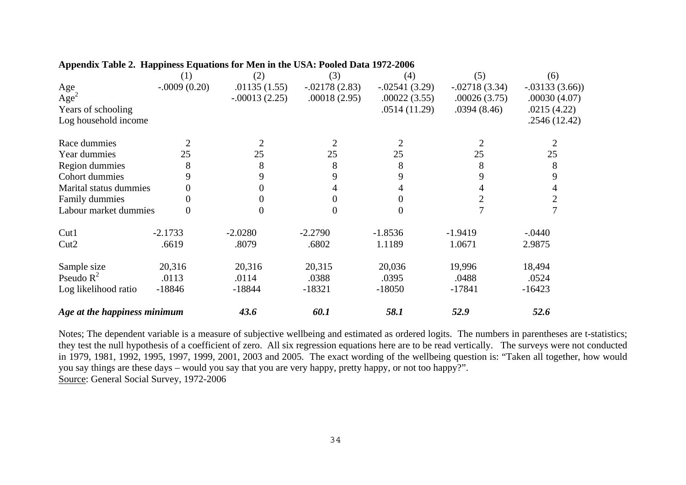|                              | (1)            | (2)             | (3)             | (4)             | (5)             | (6)             |
|------------------------------|----------------|-----------------|-----------------|-----------------|-----------------|-----------------|
| Age                          | $-.0009(0.20)$ | .01135(1.55)    | $-.02178(2.83)$ | $-.02541(3.29)$ | $-.02718(3.34)$ | $-.03133(3.66)$ |
| Age <sup>2</sup>             |                | $-.00013(2.25)$ | .00018(2.95)    | .00022(3.55)    | .00026(3.75)    | .00030(4.07)    |
| Years of schooling           |                |                 |                 | .0514(11.29)    | .0394(8.46)     | .0215(4.22)     |
| Log household income         |                |                 |                 |                 |                 | .2546(12.42)    |
| Race dummies                 | 2              |                 | 2               | $\overline{2}$  |                 |                 |
| Year dummies                 | 25             | 25              | 25              | 25              | 25              | 25              |
| Region dummies               | 8              | 8               | 8               | 8               | 8               | 8               |
| Cohort dummies               | 9              | 9               | 9               | 9               | 9               | 9               |
| Marital status dummies       | 0              |                 |                 | 4               |                 |                 |
| Family dummies               | 0              |                 |                 | 0               |                 | $\overline{2}$  |
| Labour market dummies        | $\theta$       |                 | 0               | $\Omega$        |                 |                 |
| Cut1                         | $-2.1733$      | $-2.0280$       | $-2.2790$       | $-1.8536$       | $-1.9419$       | $-.0440$        |
| Cut2                         | .6619          | .8079           | .6802           | 1.1189          | 1.0671          | 2.9875          |
| Sample size                  | 20,316         | 20,316          | 20,315          | 20,036          | 19,996          | 18,494          |
| Pseudo $R^2$                 | .0113          | .0114           | .0388           | .0395           | .0488           | .0524           |
| Log likelihood ratio         | $-18846$       | $-18844$        | $-18321$        | $-18050$        | $-17841$        | $-16423$        |
| Age at the happiness minimum |                | 43.6            | 60.1            | 58.1            | 52.9            | 52.6            |

#### **Appendix Table 2. Happiness Equations for Men in the USA: Pooled Data 1972-2006**

Notes; The dependent variable is a measure of subjective wellbeing and estimated as ordered logits. The numbers in parentheses are t-statistics; they test the null hypothesis of a coefficient of zero. All six regression equations here are to be read vertically. The surveys were not conducted in 1979, 1981, 1992, 1995, 1997, 1999, 2001, 2003 and 2005. The exact wording of the wellbeing question is: "Taken all together, how would you say things are these days – would you say that you are very happy, pretty happy, or not too happy?". Source: General Social Survey, 1972-2006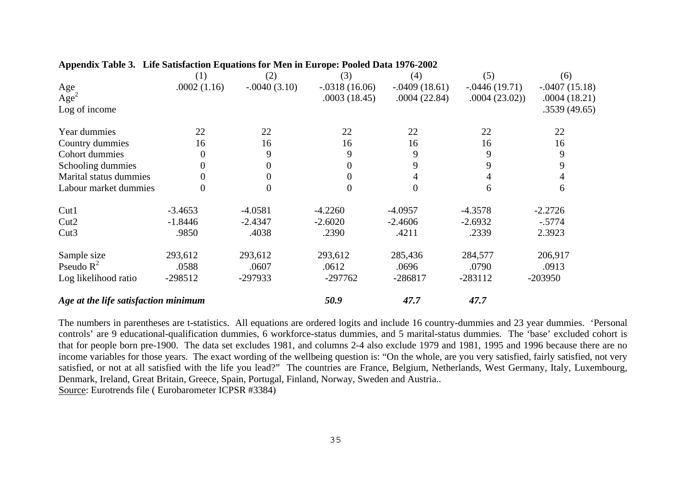|                                      | (1)         | (2)            | (3)             | (4)             | (5)              | (6)             |
|--------------------------------------|-------------|----------------|-----------------|-----------------|------------------|-----------------|
| Age                                  | .0002(1.16) | $-.0040(3.10)$ | $-.0318(16.06)$ | $-.0409(18.61)$ | $-0.0446(19.71)$ | $-.0407(15.18)$ |
| Age <sup>2</sup>                     |             |                | .0003(18.45)    | .0004(22.84)    | .0004(23.02)     | .0004(18.21)    |
| Log of income                        |             |                |                 |                 |                  | .3539(49.65)    |
| Year dummies                         | 22          | 22             | 22              | 22              | 22               | 22              |
| Country dummies                      | 16          | 16             | 16              | 16              | 16               | 16              |
| Cohort dummies                       | 0           | 9              | 9               | 9               | 9                | 9               |
| Schooling dummies                    | 0           | 0              | 0               | 9               | 9                | 9               |
| Marital status dummies               | 0           | $\Omega$       | 0               |                 |                  |                 |
| Labour market dummies                | 0           | $\overline{0}$ | $\overline{0}$  | $\Omega$        | 6                | 6               |
| Cut1                                 | $-3.4653$   | $-4.0581$      | $-4.2260$       | $-4.0957$       | $-4.3578$        | $-2.2726$       |
| Cut2                                 | $-1.8446$   | $-2.4347$      | $-2.6020$       | $-2.4606$       | $-2.6932$        | $-.5774$        |
| Cut3                                 | .9850       | .4038          | .2390           | .4211           | .2339            | 2.3923          |
| Sample size                          | 293,612     | 293,612        | 293,612         | 285,436         | 284,577          | 206,917         |
| Pseudo $R^2$                         | .0588       | .0607          | .0612           | .0696           | .0790            | .0913           |
| Log likelihood ratio                 | $-298512$   | -297933        | $-297762$       | $-286817$       | $-283112$        | $-203950$       |
| Age at the life satisfaction minimum |             |                | 50.9            | 47.7            | 47.7             |                 |

#### **Appendix Table 3. Life Satisfaction Equations for Men in Europe: Pooled Data 1976-2002**

The numbers in parentheses are t-statistics. All equations are ordered logits and include 16 country-dummies and 23 year dummies. 'Personal controls' are 9 educational-qualification dummies, 6 workforce-status dummies, and 5 marital-status dummies. The 'base' excluded cohort is that for people born pre-1900. The data set excludes 1981, and columns 2-4 also exclude 1979 and 1981, 1995 and 1996 because there are no income variables for those years. The exact wording of the wellbeing question is: "On the whole, are you very satisfied, fairly satisfied, not very satisfied, or not at all satisfied with the life you lead?" The countries are France, Belgium, Netherlands, West Germany, Italy, Luxembourg, Denmark, Ireland, Great Britain, Greece, Spain, Portugal, Finland, Norway, Sweden and Austria.. Source: Eurotrends file ( Eurobarometer ICPSR #3384)